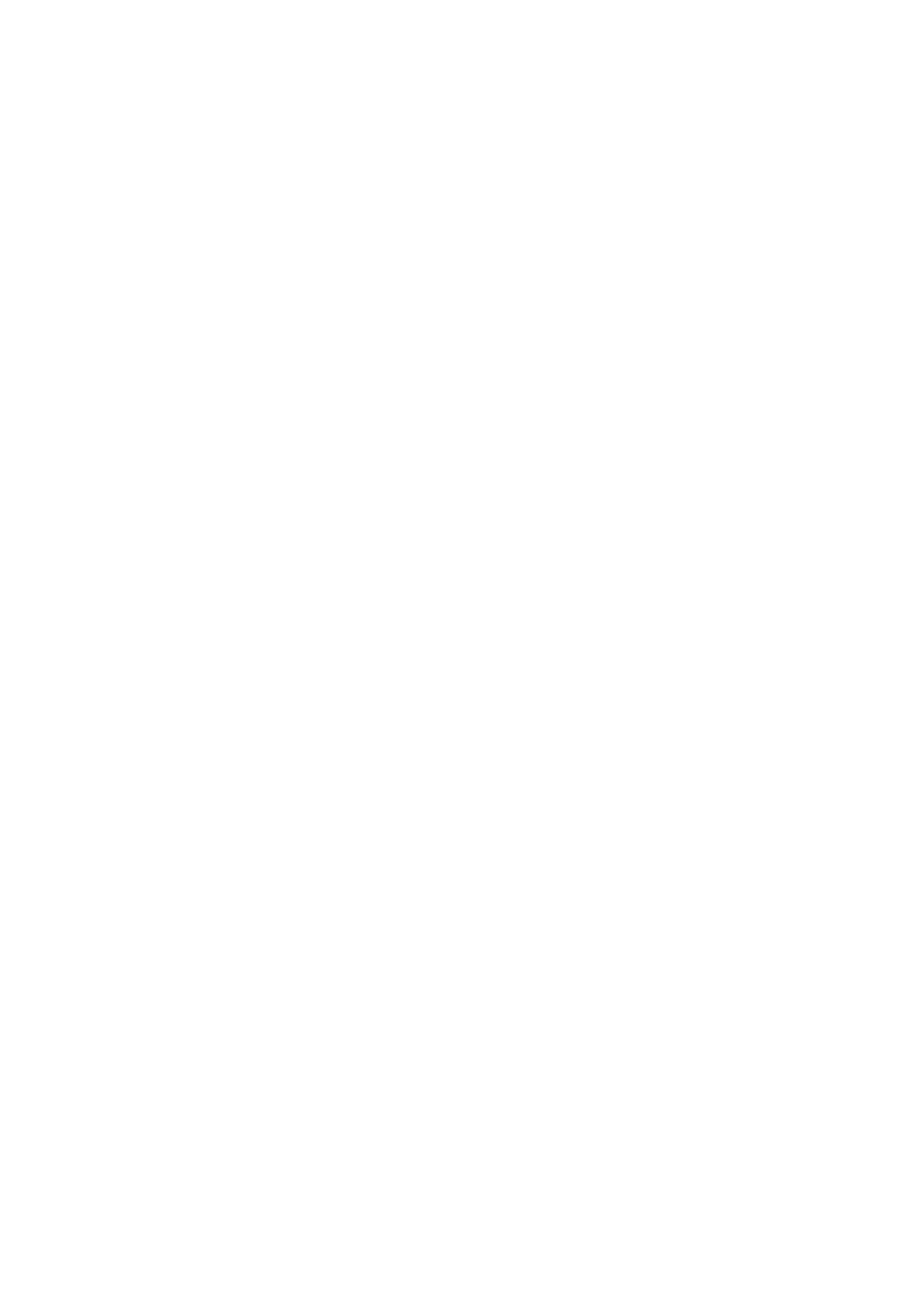# **UNIT-1 SEMANTICS**

## **Structure**

- 1.0 Objective
- 1.1 Introduction
- 1.2 What Is Semantic?
	- 1.2.1 Meaning and its Types
	- 1.2.2 Arrangements of Meanings in contemporary Semantics
- 1.3 Semantics of Sentences
- 1.4 Natural Language vs. Artificial Languages
- 1.5 Lexical Semantics or Semantics of Words
- 1.6 Let us Sum
- 1.7 Check your Progress

# **1.0 OBJECTIVE**

In this unit you will study the meaning, reference, or truth. The term can be used to refer to subfields of several distinct disciplines including linguistics, philosophy, and computer science.

# **1.1 INTRODUCTION**

Language may be divided into its components of phonology, morphology, syntax and semantics. First the number of phonemes and their allophones and the supra segmental features are determined, and then the morphemes and their organization into words are identified. The next step is to analyse the structure of sentences and find out how words are organized into phrases, phrases into clauses and clauses into sentences.

# **1.2 WHAT IS SEMANTIC?**

**Semantics** is the study of meaning in language. The term is taken from the Greek *seme*, meaning *sign*. The word *meaning* can be defined in many ways, but the definition most pertinent to linguistics and the one we will use is that meaning is "*the function of signs in language*." This understanding of meaning corresponds to German philosopher Ludwig Wittgenstein's definition: '*the meaning of a word is its use in the language*' (in other words, the role a word plays in the language).

The term semantics was only invented in the 19th century, but the subject of meaning has interested philosophers for thousands of years. The Greek philosophers were the first people known to have debated the nature of meaning. They held two opposing views on the subject.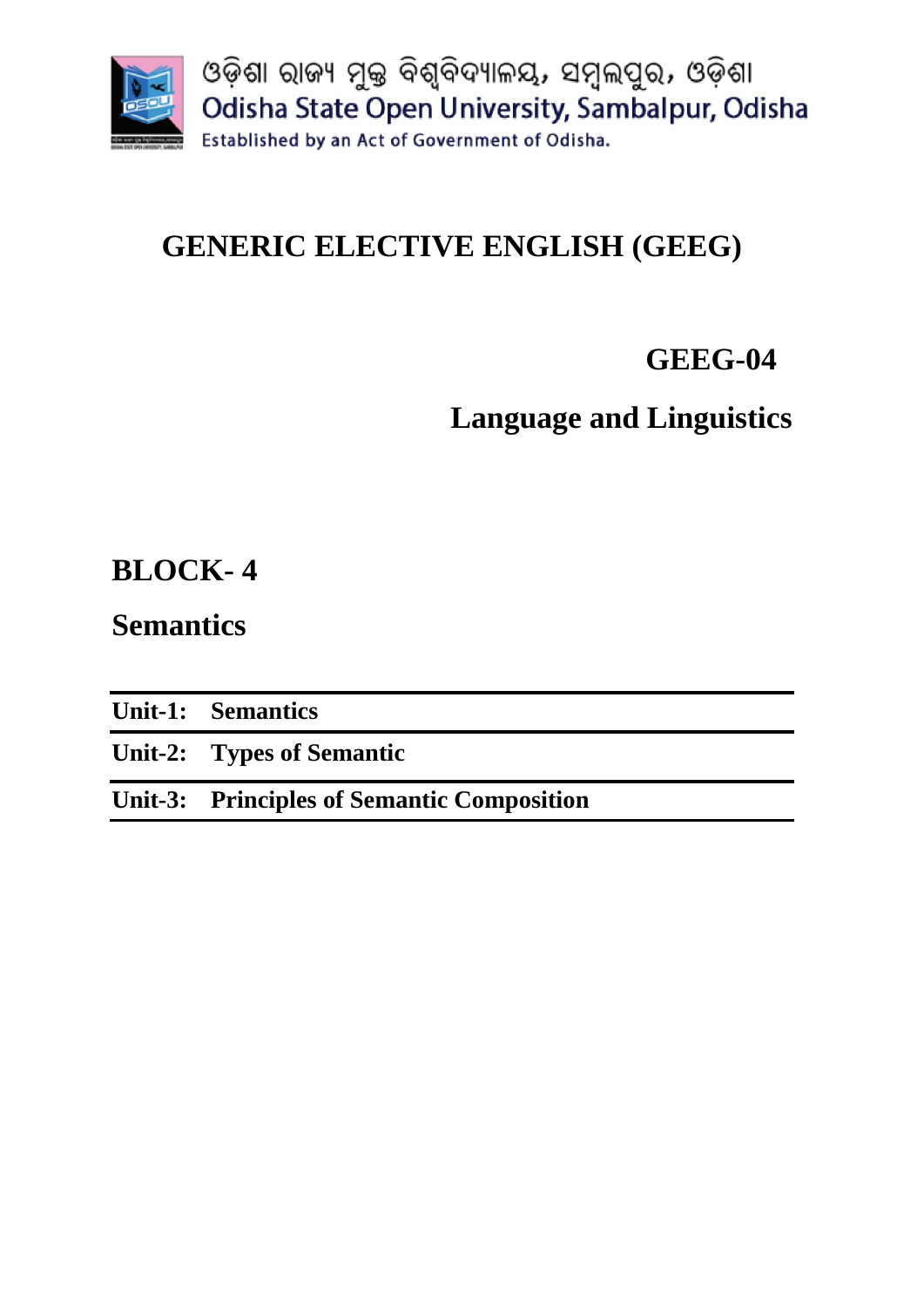As semantics is the study of the meaning of linguistic expressions, the language can be a natural language, such as English or an artificial language, like a computer programming language. Linguists mainly study meaning in natural languages. In fact, semantics is one of the main branches of contemporary linguistics. Theoretical computer scientists and logicians think about artificial languages. In some areas of computer science, these divisions are crossed. In machine translation, for instance, computer scientists may want to relate natural language texts to abstract representations of their meanings; to do this, they have to design artificial languages for representing meanings.

There are strong connections to philosophy. Earlier in this century, philosophers did much work in semantics, and some important work is still done by philosophers.

#### **1.2.1 Meaning and its Types:**

Meaning has been a topic of interest for linguists as well as philosophers and conversation analysts. The term meaning can refer to several things, so it is important to note its implications in language sciences. In linguistics the term meaning can refer to implication, entailment, intention, etc. and it is arbitrary that is to say that there may not be an explanation for why a certain entity has got a certain name. Meaning can be of several kinds such as denotative, connotative, literal, figurative and idiomatic. The denotative meaning is the explicit or surface meaning whereas the connotative meaning refers to the extended meaning that may be figurative or idiomatic. The figurative meaning is somewhat different from the literal meaning. The literal meaning of the individual words in a figurative language use may indicate some concepts, but the overall interpretation requires additional links with entities not available in the lexical contents. Additionally, the term meaning can also refer to the dictionary meaning and encyclopaedic meaning. The dictionary meaning usually refers to the lexical meaning that the users may find in a dictionary. This meaning is often short and depends on the speakers for exactness. In contrast, the encyclopaedic meaning covers all the information available about the word. It is important to note that the site for storing, access and recall of all kinds of meaning is the mental lexicon. Mental lexicon is an abstract entity assumed to be present in the minds of the speakers.

Anyone who speaks a language has a truly amazing capacity to reason about the meanings of texts. Take, for instance, the sentence

#### **(S) I can't untie that knot with one hand.**

Even though you have probably never seen this sentence, you can easily see things like the following:

- 1. The sentence is about the abilities of whoever spoke or wrote it. (Call this person the speaker.)
- 2. It's also about a knot, maybe one that the speaker is pointing at.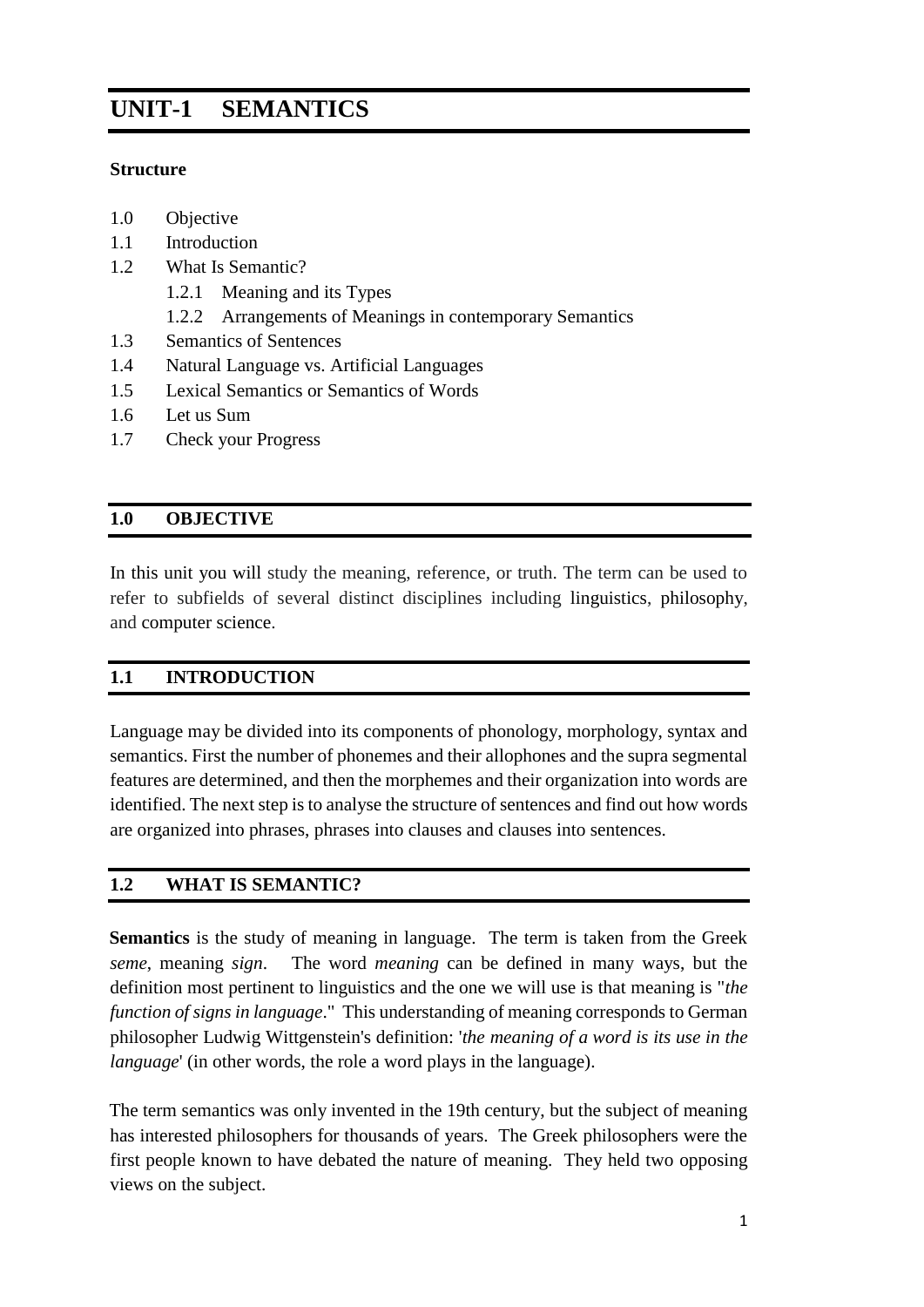- 3. The sentence denies that the speaker has a certain ability. (This is the contribution of the word 'can't'.)
- 4. Untying is a way of making something not tied.
- 5. The sentence doesn't mean that the knot has one hand; it has to do with how many hands are used to do the untying.

# **1.2.2 Arrangements of Meanings in contemporary Semantics:**

Linguists who study semantics look for general rules that bring out the relationship between *form*, which is the observed arrangement of words in sentences, and meaning. This is interesting and challenging, because these relationships are so complex.

This idea that meaningful units combine systematically to form larger meaningful units, and understanding sentences is a way of working out these combinations, has probably been the **most important theme in contemporary semantics.** The meaning of a sentence is not just an unordered heap of the meanings of its words. If that were true, then 'Cowboys ride horses' and 'Horses ride cowboys' would mean the same thing. So we need to think about arrangements of meanings.

Here is an arrangement that seems to bring out the relationships of the meanings in sentence  $(S)$ .

Not [ I [ Able [ [ [Make [Not [Tied]]] [That knot ] ] [With One Hand] ] ] ]

The unit [Make [Not [Tied]] here corresponds to the act of untying; it contains a subunit corresponding to the state of being untied. Larger units correspond to the act of untying-that-knot and to the act to-untie-that-knot-with-one-hand. Then this act combines with Able to make a larger unit, corresponding to the state of being-abletountie-that-knot-with-one-hand. This unit combines with I to make the thought that I have this state -- that is, the thought that I-am-able-to-untie-that-knot-with-one-hand. Finally, this combines with Not and we get the denial of that thought.

A semantic rule for English might say that a simple sentence involving the word 'can't' always corresponds to a meaning arrangement like

Not [ Able ... ], but never to one like Able [ Not ... ].

For instance, 'I can't dance' means that I'm unable to dance; it doesn't mean that I'm able not to dance.

# **1.3 SEMANTICS OF SENTENCES**

.

To assign meanings to the sentences of a language, you need to know what they are. It is the job of another area of linguistics, called *syntax*, to answer this question, by providing rules that show how sentences and other expressions are built up out of smaller parts, and eventually out of words. The meaning of a sentence depends not only on the words it contains, but on its syntactic makeup: the sentence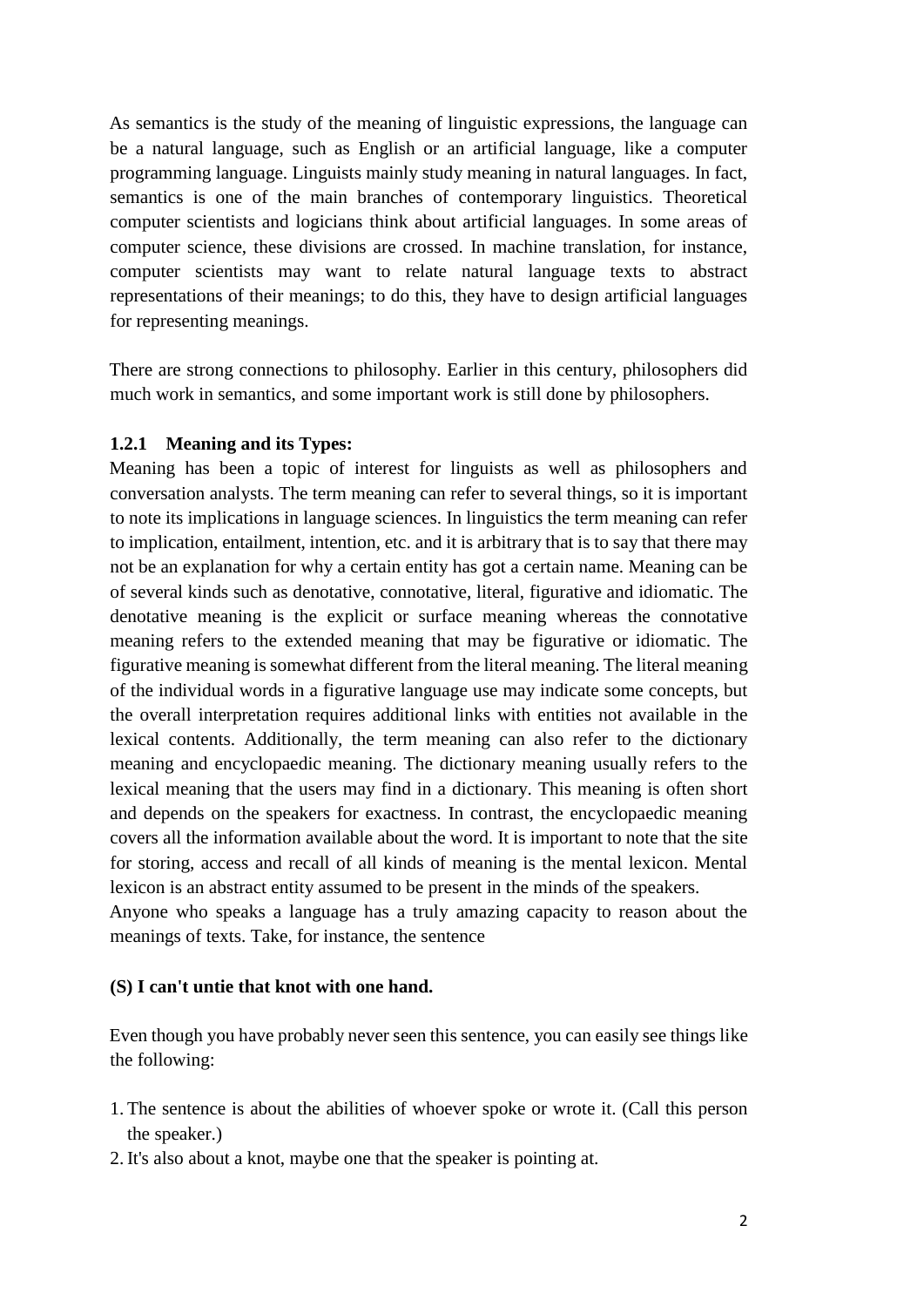#### *(S) That can hurt you,*

for instance, is *ambiguous* -- it has two distinct meanings. These correspond to two distinct *syntactic structures*. In one structure 'That' is the subject and 'can' is an auxiliary verb (meaning "able"), and in the other 'That can' is the subject and 'can' is a noun (indicating a sort of container).

Because the meaning of a sentence depends so closely on its syntactic structure, linguists have given a lot of thought to the relations between syntactic structure and meaning; in fact, evidence about ambiguity is one way of testing ideas about syntactic structure.

# **1.4 NATURAL LANGUAGE vs. ARTIFICIAL LANGUAGES**

Since sentences can be either true or false, the meanings of sentences usually involve the two truth-values true and false.

You can make up artificial languages for talking about these objects; some semanticists claim that these languages can be used to capture inner cognitive representations. Though "truth values" may seem artificial as components of meaning, they are very handy in talking about the meaning of things like negation; the semantic rule for negative sentences says that their meanings are like that of the corresponding positive sentences, except that the truth value is switched, **false** for **true** and **true** for **false**. 'It isn't raining' is true if 'It is raining' is false, and false if 'It is raining' is true. This interest in valid reasoning provides a strong connection to work in the semantics of artificial languages, since these languages are usually designed with some reasoning task in mind. Logical languages are designed to model theoretical reasoning such as mathematical proofs, while computer languages are intended to model a variety of general and special purpose reasoning tasks. Validity is useful in working with proofs because it gives us a criterion for correctness. It is useful in much the same way with computer programs, where it can sometimes be used to either prove a program correct, or (if the proof fails) to discover flaws in programs.

These ideas (which really come from logic) have proved to be very powerful in providing a theory of how the meanings of natural-language sentences depend on the meanings of the words they contain and their syntactic structure. Over the last forty years or so, there has been a lot of progress in working this out, not only for English, but for a wide variety of languages. This is made much easier by the fact that human languages are very similar in the kinds of rules that are needed for projecting meanings from words to sentences; they mainly differ in their words, and in the details of their syntactic rules.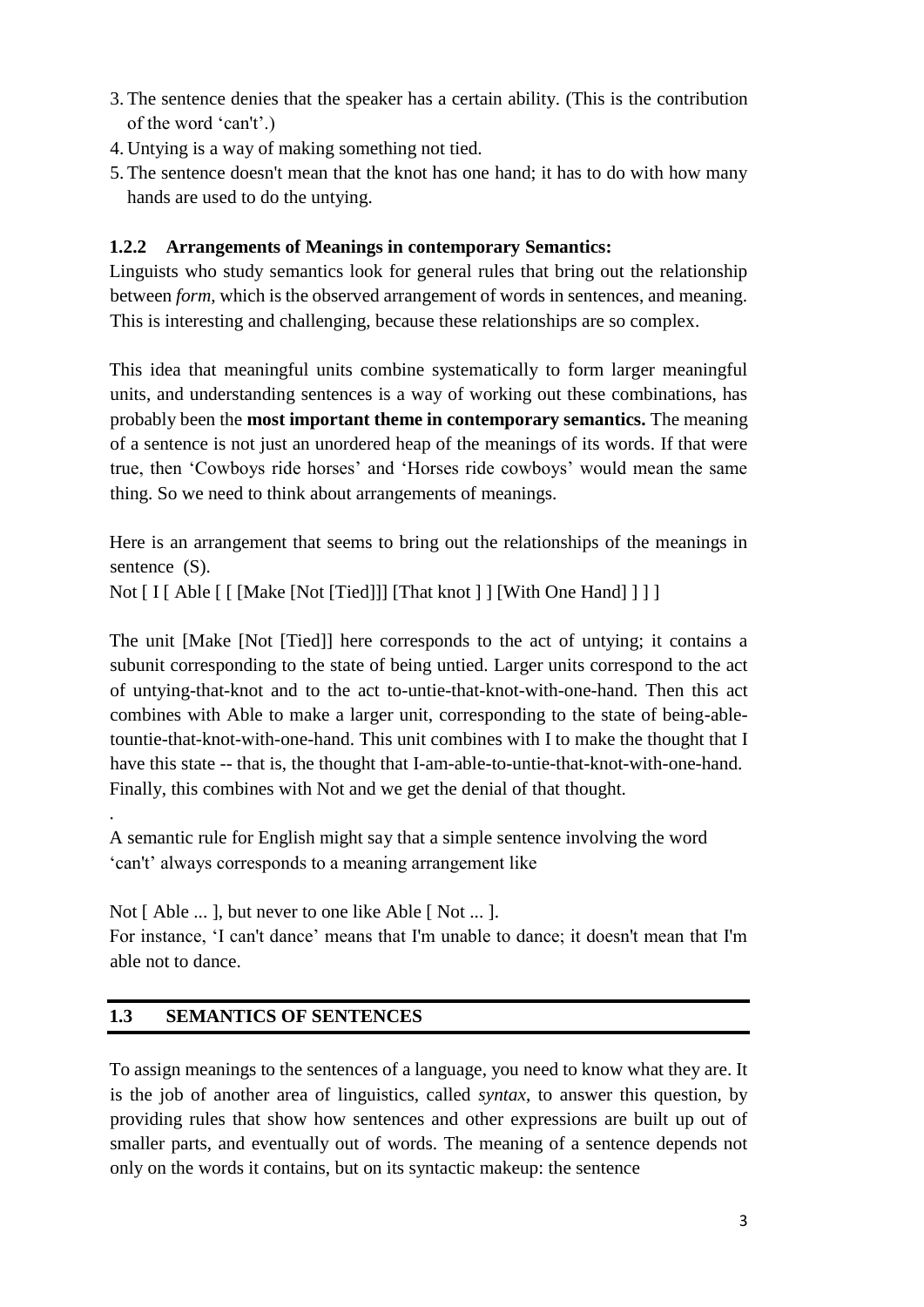#### **1.5 LEXICAL SEMANTICS OR SEMANTICS OF WORDS**

Recently, there has been more interest in lexical semantics -- that is, in the semantics of words. **Lexical semantics** deals with a language's **lexicon**, or the collection of words in a language. It is concerned with individual words (unlike compositional semantics, which is concerned with meanings of sentences.) Lexical semantics focuses on meanings in isolation, that is, without attention to their contribution to reference or truth conditions. Lexical semantics is not so much a matter of trying to write an "ideal dictionary". (Dictionaries contain a lot of useful information, but don't really provide a theory of meaning or good representations of meanings.) Rather, lexical semantics is concerned with systematic relations in the meanings of words, and in recurring patterns among different meanings of the same word. It is no accident, for instance, that you can say 'Sam ate a grape' and 'Sam ate', the former saying what Sam ate and the latter merely saying that Sam ate something. This same pattern occurs with many verbs. The **naturalist** view, held by Plato and his followers, maintained that there was an intrinsic motivation between a word and its meaning. The meaning of a word flows directly from its sound. The Greek word thalassa, *sea*, in its classical pronunciation, supposedly sounded like the waves rushing up onto the beach. If the naturalist view were entirely correct for all words, we would be able to tell the meaning of any word just by hearing it. In reality only a few onomotopoeic words in each language actually sound something like what they mean: *swoosh, splash, bow wow, meow*. Poets can skillfully use words with sound features that heighten the meaning intended. But poetic sound imagery represents a rare, highly clever use of language, so the naturalist approach is applicable to only a tiny portion of any language.

Logic is help in lexical semantics, but lexical semantics is full of cases in which meanings depend subtly on context, and there are exceptions to many generalizations. (To undermine something is to mine under it; but to understand something is not to stand under it.) So logic doesn't carry us as far here as it seems to carry us in the semantics of sentences.

Linguists who study meaning (**semanticists**) often divide the meaning of a word into semantic components based on real world concepts, such as human/ live/ dead/ animal/ plant/ thing/ etc. Discussing the meaning of words by breaking it down into smaller semantic components such as is called **componential analysis**.

Semantics probably won't help you find out the meaning of a word you don't understand, though it does have a lot to say about the patterns of meaningfulness that you find in words. It certainly can't help you understand the meaning of one of Shakespeare's sonnets, since poetic meaning is so different from literal meaning. But as we learn more about semantics, we are finding out a lot about how the world's languages match forms to meanings. And in doing that, we are learning a lot about ourselves and how we think, as well as acquiring knowledge that is useful in many different fields and applications.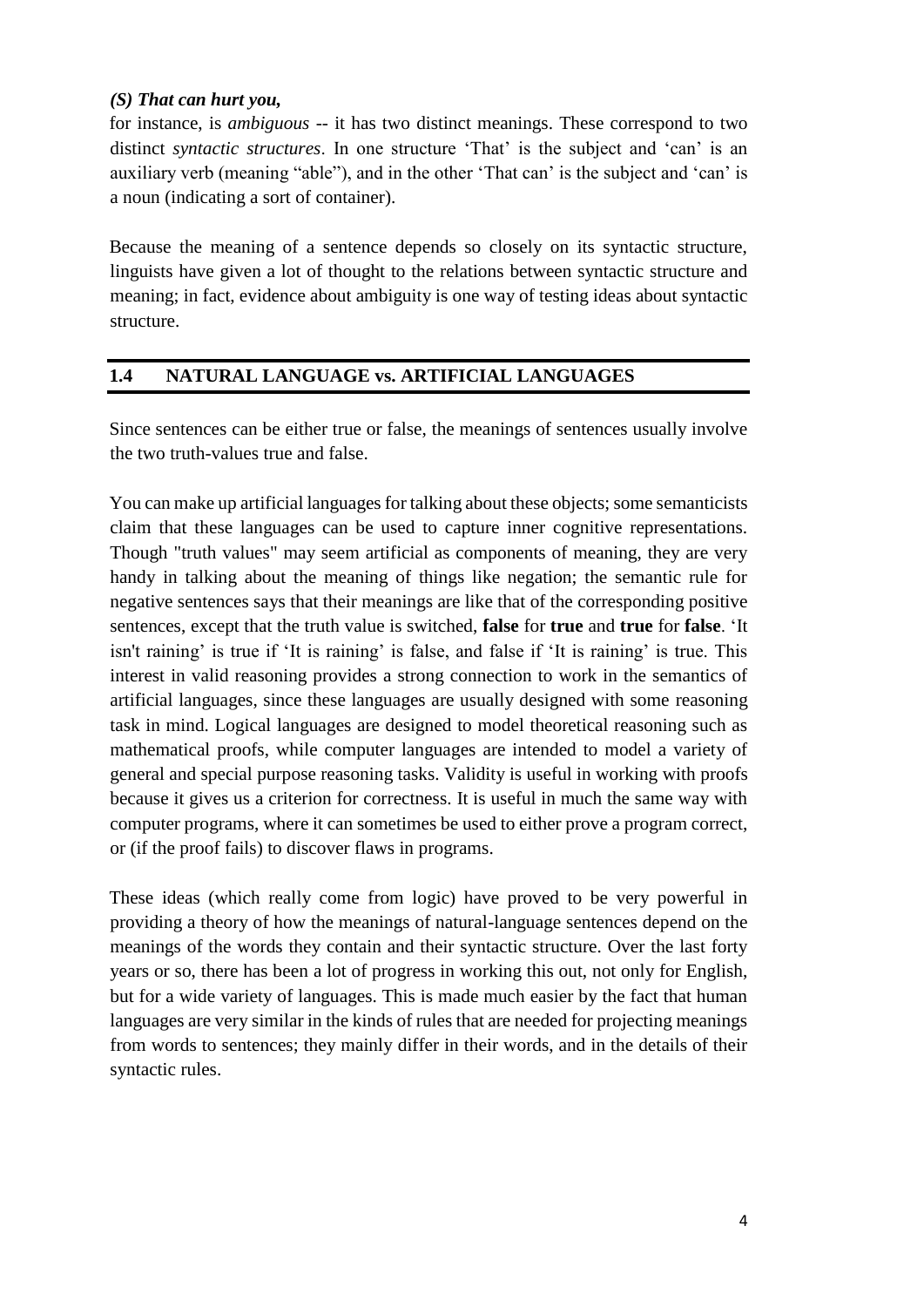

# **1.6 HOW MEANING AFFECTS WORD ASSOCIATIONS IN LANGUAGE**

The purely linguistic side of meaning is equally evident when examining how words combine with one another to produce phrases. The set of restrictions on how a word may combine with other words of a single syntactic category is referred to as the word's **collocability**. Two words may have the same referent, and yet differ in their ability to combine with particular words.

In English, the word *flock* collocates with *sheep* ; and *school* with *fish*, although both *flock* and *school* mean *group*.

Also, *addled* combines only with *brains* or *eggs* (one must *steam rice* and *boil water*), *blond* collocates with *hair*, while *red* may collocate with hair as well as other objects.

Idiosyncratic restrictions on the collocability of words result in set phrases: *green with jealousy*; *white table* vs. *white lie*. On can *get or grow old*, but only *get drunk, get ready*, not \**grow drunk*, \**grow ready*.

Every language has its own peculiar stock of set phrases. In English we *face problems* and *interpret dreams*, but in Modern Hebrew we *stand in front of problems* and *solve dreams*. In English we *drink water* but *eat soup*. In Japanese the verb for *drink* collocates not only with *water* and *soup*, but also with *tablets* and *cigarettes*.

From the point of view of **etymology**, set phrases are of two types.

1. The first type of set phrase, the **collocation**, may be defined as "a set phrase which still makes sense": *make noise, make haste.* One simply doesn't say *to produce noise* or *make swiftness*, even though such phrases would be perfectly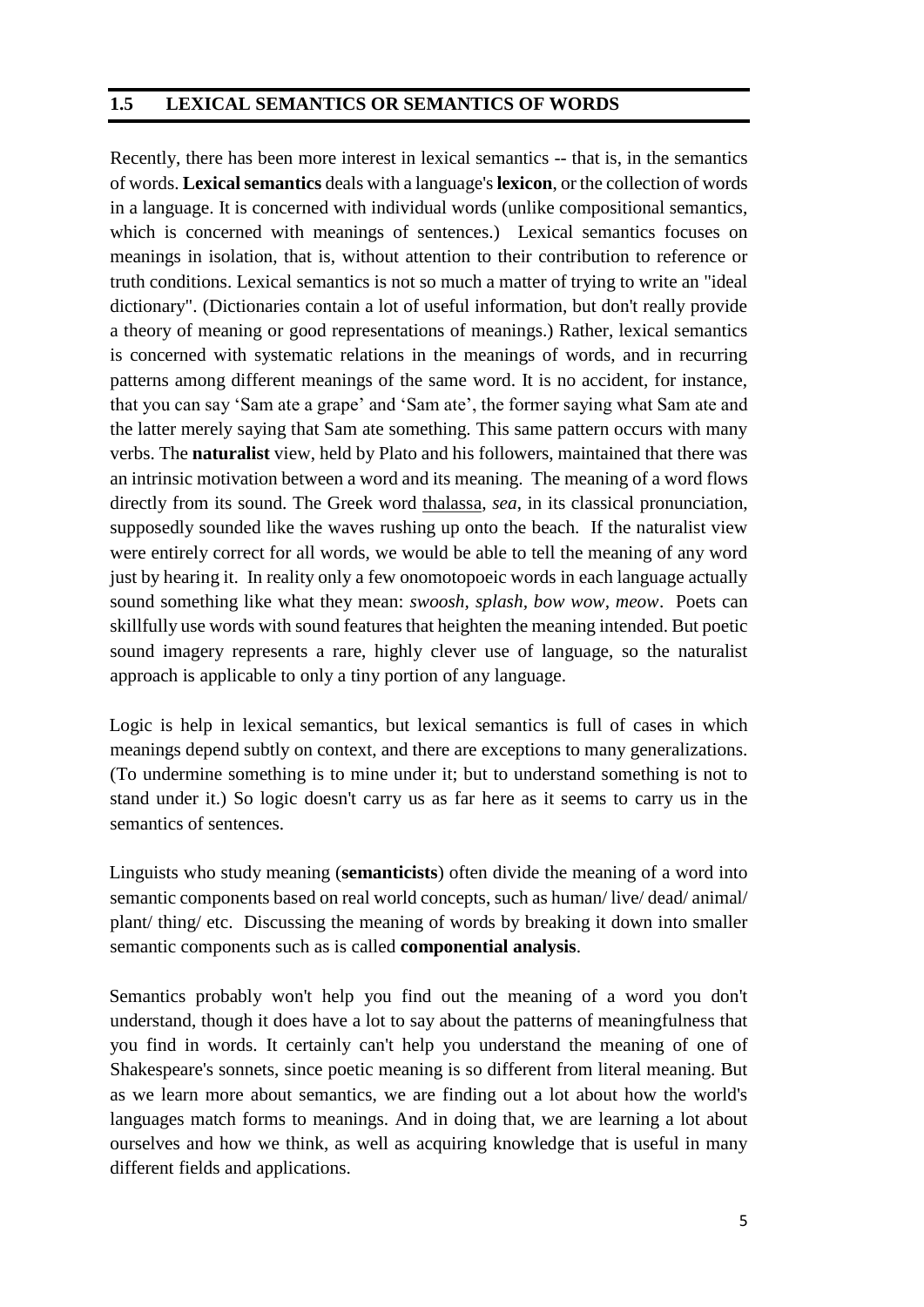understandable. Since collocations still may be taken literally, they can be paraphrased using regular syntactic transformations: *Haste was made by me, noise was made by the children*.

2. Phrases whose words no longer make sense when taken literally are called **idioms**. The semantic relations between words in idiomatic set phrases may be illogical to varying degrees: *white elephant sale, soap opera, to see red, break a leg, small voice, loud tie, wee hours of the night.*

Thus, meaning involves real-world concepts and logic but it is at the same time a linguistic category. The semantic structure of a language is the language's special system of conveying extra linguistic relations by idiosyncratic linguistic means.

## **1.7 SEMANTIC RELATIONSHIPS BETWEEN WORDS**

**Sense relations**: All words in a language may not be discrete. They may show some kind of relationships at the level of meaning. These relationships are known as sense relations. Modern studies of semantics are interested in meaning primarily in terms of word and sentence relationships. Let's examine some semantic relationships between words.

Following are some commonly occurring relationships between words:

- a) Synonymy shows the relationship of sameness or similarity of meaning as in *big* and *large*.
- b) Antonymy shows the relationship of oppositeness of meaning as in *day* and *night*.
- c) Polysemy signifies the relationship of multiple related meanings of a word as in *house* and *home*.
- d) Homonymy refers to the multiple unrelated meanings of a word. For example, consider the word *bank.* It may refer to the monetary institution as well as the water body.
- e) Meronymy: The term meronymy signifies the part-whole relationship between concepts. For example, the concepts *finger* and *hand* share the relationship of meronymy. In this case, finger is a meronym of hand and hand is the holonym of finger. It is important to note that finger is part of the hand, not a type of hand.

There are a few other minor semantic relations that may pertain between words. The first involves the distinction between a category vs. a particular type or example of that category. For example, a tiger is a type of feline, so feline is a category containing lion, tiger, etc.; color is a category containing red, green, etc, red, green are types of colors. Thus, feline and color are hyponyms, or cover words, and red, green, lion, tiger are their taxonyms. The second involves a whole vs. part of the whole. For example, Similarly, family is the holonym of child, mother or father. Since words often originate from other words, a word very often has some historical reason for being the shape it is. Sometimes the origin (or **etymology**) of a word is completely transparent, as in the case of *unknown* from *known*, or *discomfort* from *comfort*. At other times the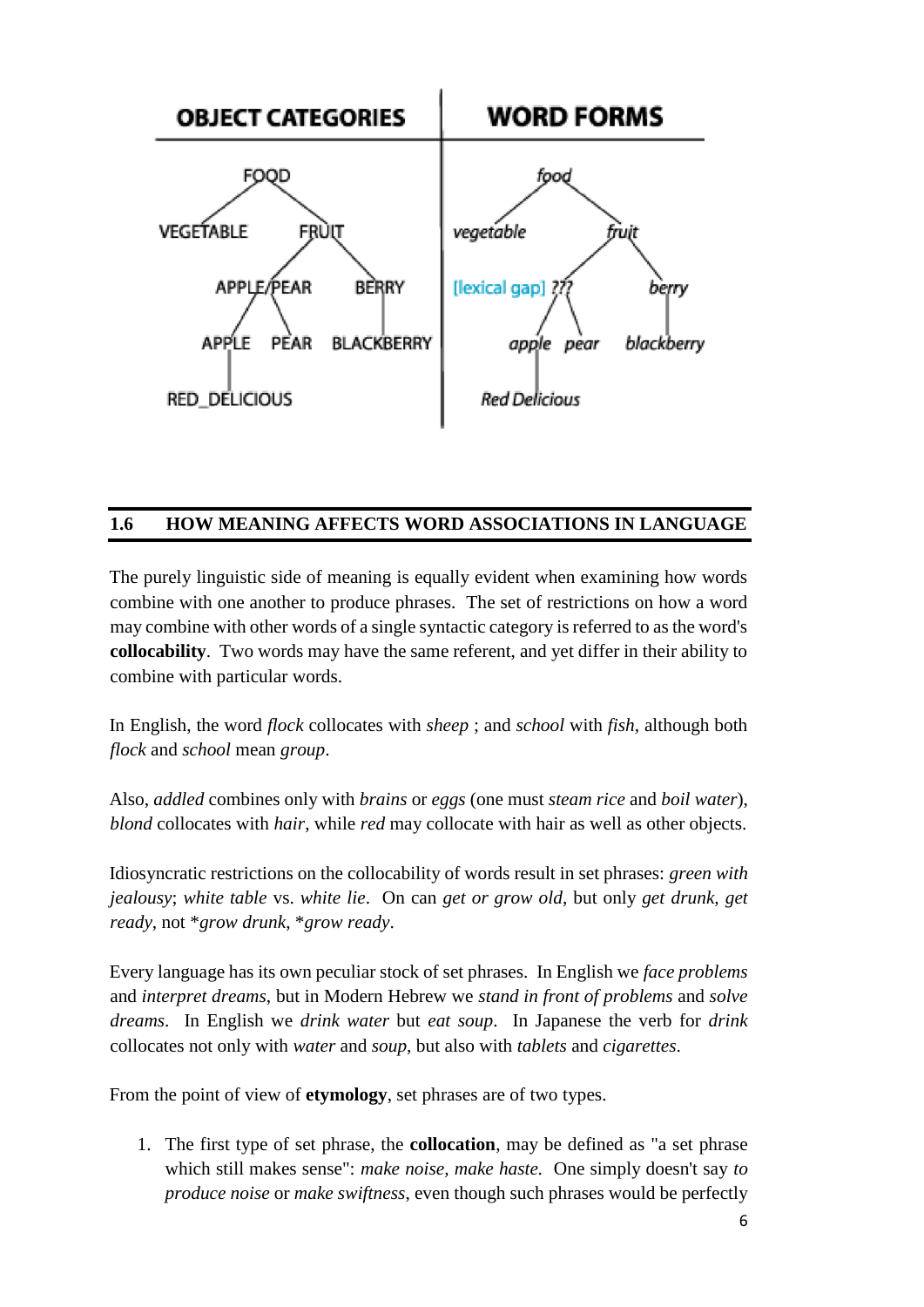origin of a word is less immediately obvious but nevertheless present in the form of a word, as in the case of *acorn* < oak + ornThe **conventionalist** view of Aristotle holds that the connection between sound and meaning is completely arbitrary. It is true that the form of most words is arbitrary from an extra-linguistic point of view.

**Philologists** (people who study language as well as anything created with language) often make a distinction between **meaning** and **concept**. It is possible to know the meaning of the word without knowing everything about the concept referred to by that meaning. For example, one can know the meaning of a word like *diamond* without knowing the chemical composition of the stone or that carbon and pencil lead are, chemically speaking, composed of the same substance.

Linguists have a second way of looking at the distinction between linguistic and realworld knowledge. They often discuss the difference between a word's **sense** and its **reference**. A word's sense is how the word relates to other words in a language (Wittgenstein's "meaning"); its reference is how it relates to real world concepts. The French word *mouton* refers to a sheep as well as to the meat of the animal as used for food (the sense of the word combines two references). In English we have two separate words for each extra-linguistic reference. The sense of the English word *sheep* is limited by the presence of the word *mutton* in English. Thus, the sense of a word concerns its linguistic boundaries in a particular language. The reference of a word concerns which concepts it refers to in the real world.

Noting how semantics is based on extra-linguistic categories, a group of linguists (including the Polish-born Australian linguist Anna **Wierzbicka**) have tried to reduce all meaning in language to a set of universal core concepts, such as *tall, short, male, female*, etc. These finite sets of concepts are then used universally, to describe the meanings of all words in all languages. This semantic approach to language structure has various problems, which are as follows:

- \* To decide which concepts are basic and which are derived.
- How to distinguish between sense and reference?
- ◆ Meaning is more than simply a reflection of real world categories.

#### **1.8 LET US SUM UP**

.

**Idiosyncratic semantic constraints** in the grammar result in reference being made using one form instead of another. **Logical constraints** result in reference not being made at all. Meaning is not merely a reference to concepts in the real world. It depends on linguistic factors in part unique to each individual language; meaning depends not only on the logical combination of real world concepts. The system of language cannot be described only in terms of extra-linguistic logic.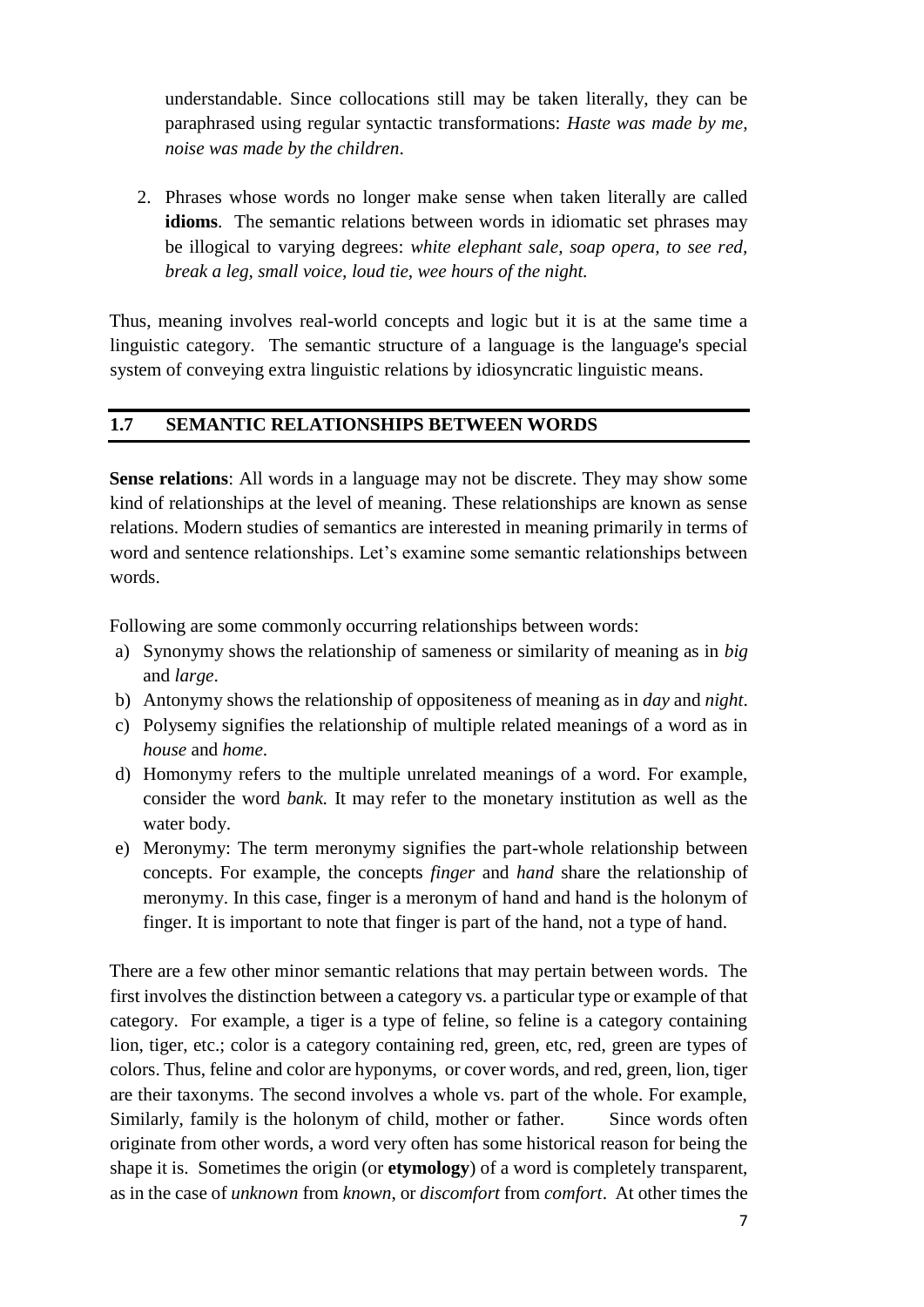#### 1.9 **CHECK YOUR PROGRESS**

#### 1 What Is Semantic?

#### 2. What do you mean by Sense relations?

 $\ddotsc$  $\cdots$  $\ldots$  $\dddotsc$ 

#### 3. What is Logical constraints?

 $\mathbb{R}^2$ 

#### **References**

Carter, Ronald (ed.) Language and Literature: An Introductory Reader in Stylistics. Allen and Unwin Ltd: London, 1982.

Chastain. K. Developing Second Language Skills: Theory to Practice. 2nd ed. Rand Mc Nally College Publishing Co.: Chicago, 1976.

Crystal, David and Derek Davy. Investigating English Style. OUP: London, 1968.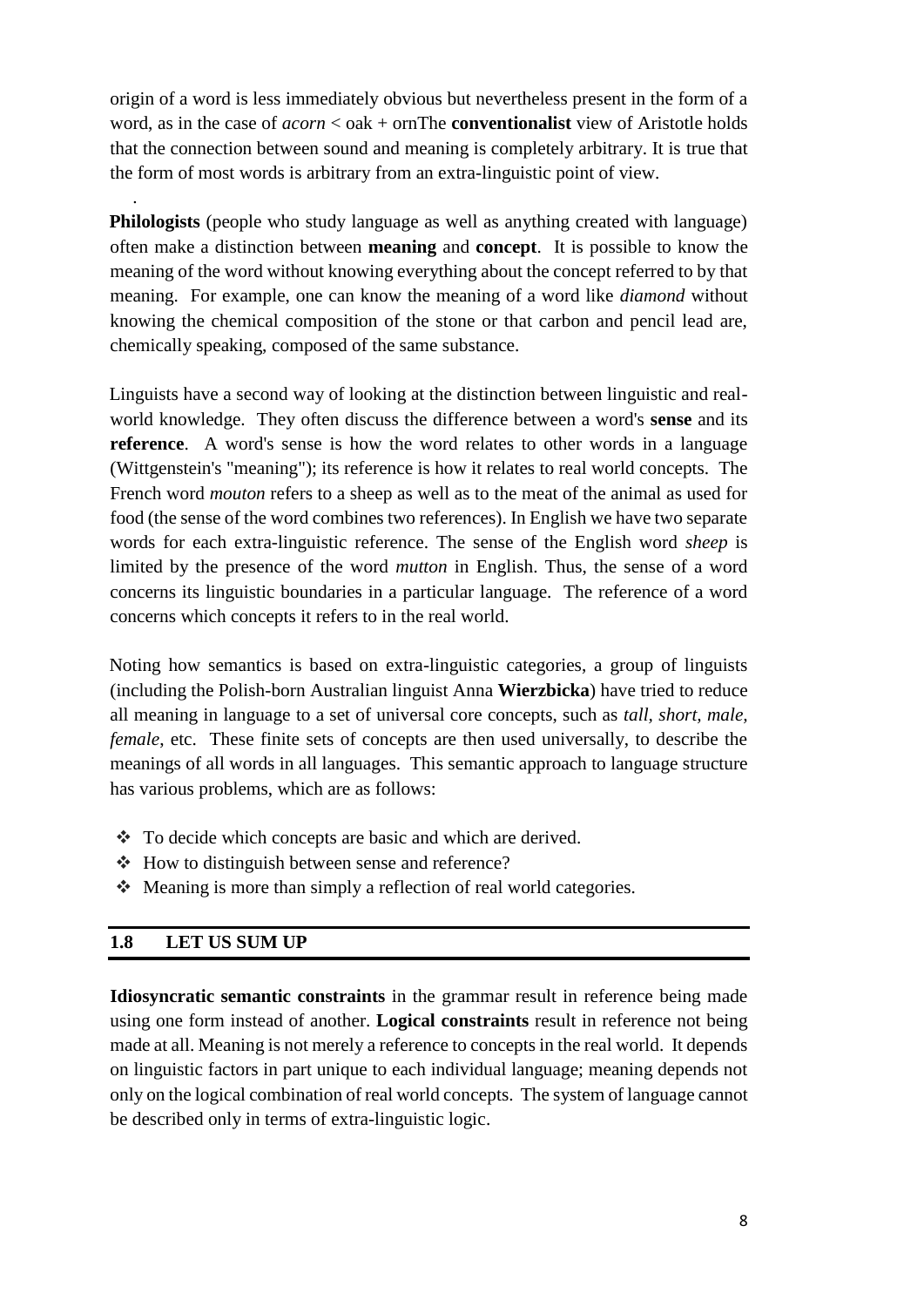# **UNIT-2 SEMANTICS**

#### **Structure**

- 2.0 Objective
- 2.1 Introduction
- 2.2 Definition of Semantics
- 2.3 Types of Semantic
	- 2.3.1 Connotative Semantic
	- 2.3.2 Denotative Semantic
- 2.4 Function of Semantic
- 2.5 Study of Meaning
- 2.6 The seven types of meaning are as follows:
	- 2.6.1 Conceptual Meaning
	- 2.6.2 Connotative Meaning
	- 2.6.3 Stylistic Meaning
	- 2.6.4 Affective Meaning:
	- 2.6.5 Reflected Meaning:
	- 2.6.6 Collocative Meaning
	- 2.6.7 Thematic Meaning
- 2.7 Lexical Relations and Semantics
	- 2.7.1 Synonymy
	- 2.7.2 Antonymy
	- 2.7.3 Hyponymy
	- 2.7.4 Homonymy
	- 2.7.5 Polysemy
	- 2.7.6 Metonymy
	- 2.7.7 Collocation
- 2.8 Pragmatics
- 2.9 Several types of context:
	- 2.9.1 Physical context –
	- 2.9.2 Linguistic context –
	- 2.9.3 Social context
- 2.10 Elements of pragmatics
	- 2.10.1 Entailment
	- 2.10.2 Presuppositions
	- 2.10.3 Implicature
- 2.11 Relationship between Semantics and Pragmatics
- 2.12 Comparison between Semantics and Pragmatics
- 2.13 Let Us Sum Up
- 2.14 Check Your Progress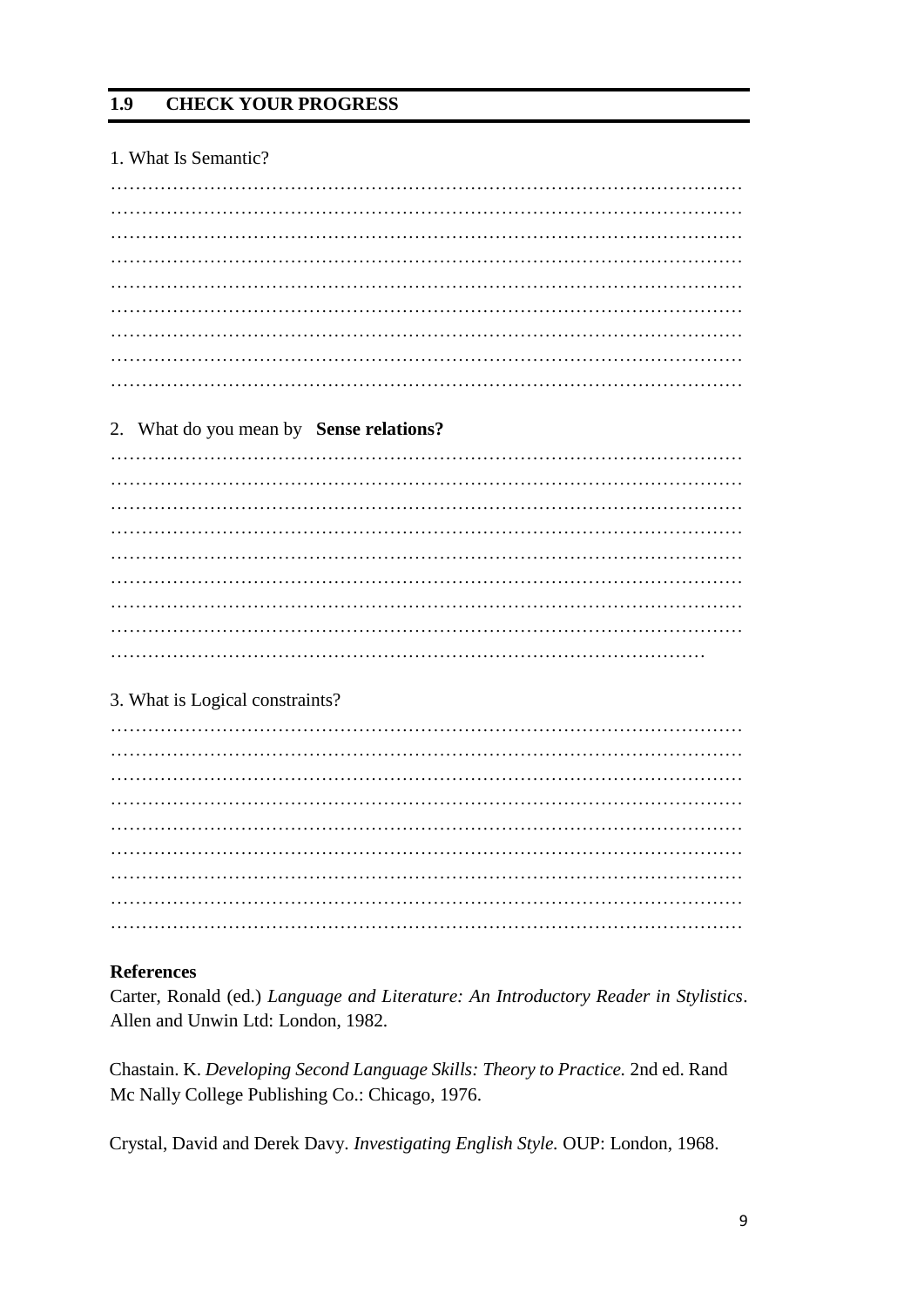## **2.0 OBJECTIVE**

In this unit you will read semantics as the subfield, studies meaning. Semantics can address meaning at the levels of words, phrases, sentences, or larger units of discourse. One of the crucial questions which unites different approaches to linguistic semantics is that of the relationship between form and meaning.

# **2.1 INTRODUCTION**

This unit deals with two important aspects of linguistics i.e. Semantics and Pragmatics. It covers various aspects and varieties of semantics and pragmatics. Language meaning can be analysed at several levels. It has a direct connection with semantics and pragmatics. The study has also presented the study of meaning in various contexts. The unit has tried to come up with the relationship between semantics and pragmatics and some basic differences between the two.

#### **2.2 DEFINITION OF SEMANTICS**

Semantics is one of the important branches of linguistics that deals with interpretation and meaning of the words, sentence structure and symbols, while determining the reading comprehension of the readers how they understand others and their interpretations. In addition, semantics construct a relation between adjoining words and clarifies the sense of a sentence whether the meanings of words are literal or figurative. Semantics is a branch of linguistics, which is the study of language; it is an area of study interacting with those of syntax and phonology. A person's linguistic abilities are based on knowledge that they have. One of the insights of modern linguistics is that speakers of a language have different types of linguistic knowledge, including how to pronounce words, how to construct sentences, and about the meaning of individual words and sentences. To reflect this, linguistic description has different levels of analysis. So - phonology is the study of what sounds combine to form words; syntax is the study of how words can be combined into sentences; and semantics is the study of the meanings of words and sentences. William Frawley defines linguistic semantics as "the study of literal, decontextualized, grammatical meaning". Semantics is concerned with the conceptual meaning related to words. Semantics does not focus on the context, rather it deals with the meaning according to grammar and vocabulary. The focus is only on the general rules used for a language.

#### **2.3 TYPES OF SEMANTIC**

There are two types of Semantics:

#### **2.3.1 Connotative Semantic**

When a word suggests a set of associations, or it is an imaginative or emotional suggestion connected with the words, while readers can relate to such associations.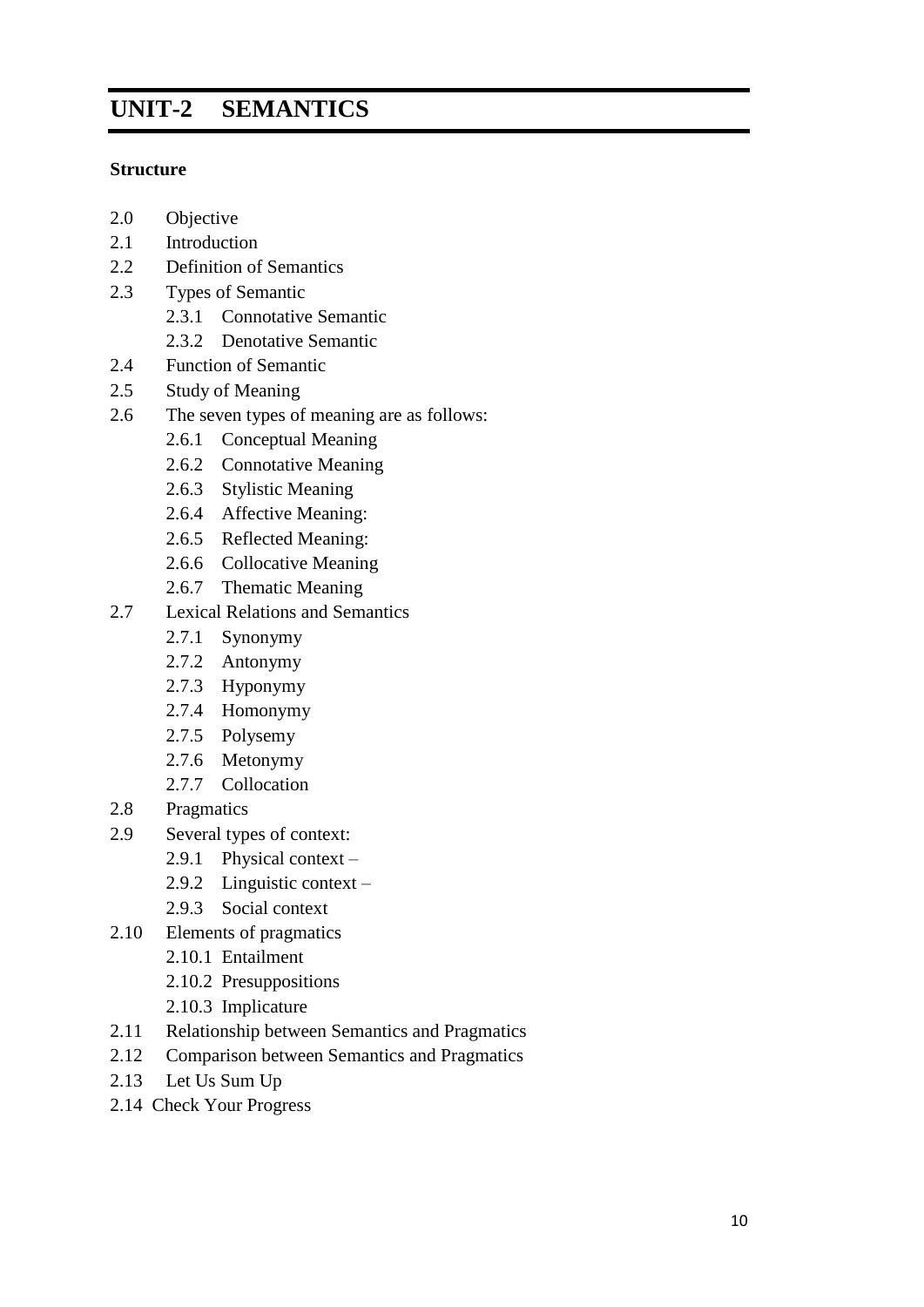Simply, it represents figurative meaning. Usually poets use this type of meaning in their poetry.

# **2.3.2 Denotative Semantic**

It suggests the literal, explicit or dictionary meanings of the words without using associated meanings. It also uses symbols in writing that suggest expressions of writers such as an exclamation mark, quotation mark, apostrophe, colon, and quotation mark etc.

# **2.4 FUNCTION OF SEMANTIC**

The purpose of semantic is to propose exact meanings of the words and phrases and remove confusion, which might lead the readers to believe a word has many possible meanings. It makes a relationship between a word and the sentence through their meanings. Besides, semantic enables the readers to explore a sense of the meaning, because if we remove or change the place of a single word from the sentence, it will change the entire meanings, or else the sentence will become anomalous. Hence, the sense relation inside a sentence is very important, as a single word does not carry any sense or meaning. Miriam Webstar Dictionary defines Semantics as – "the study of meanings, the historical and psychological study and the classification of changes in the signification of words or forms viewed as factors in linguistic development."

# **2.5 STUDY OF MEANING**

A word is the smallest unit of spoken language which has meaning and can stand alone, it is a written representation of one or more sounds which can be spoken to represent an idea, object, action, etc. in order to be understood by the people, a word must have a meaning. Most words have more than one meaning, it is the characteristic of words that a single word may have several meaning, in fact, words may play an enormous part in our life. Words are used to express something and also convey feelings about we are describing. Words are used not in isolation but related to human situation. It is through our experience with them in situation that they take on meaning. If we talk about words, we cannot avoid talking about the study of meaning (semantics). The meaning of word is often complex, having such component as a picture, an idea, a quality, a relationship and personal feelings and association

# **2.6 THE SEVEN TYPES OF MEANING**

# **2.6.1 Conceptual Meaning:**

Conceptual meaning is sometimes called denotative meaning or cognitive meaning, it is widely assumed to be the central factor in linguistic communication. Larson noted that denotative meaning is also called as primary meaning, that is the meaning suggested by the word when it used alone. It is the first meaning or usage which a word will suggest to most people when the word is said in isolation. It is the meaning learned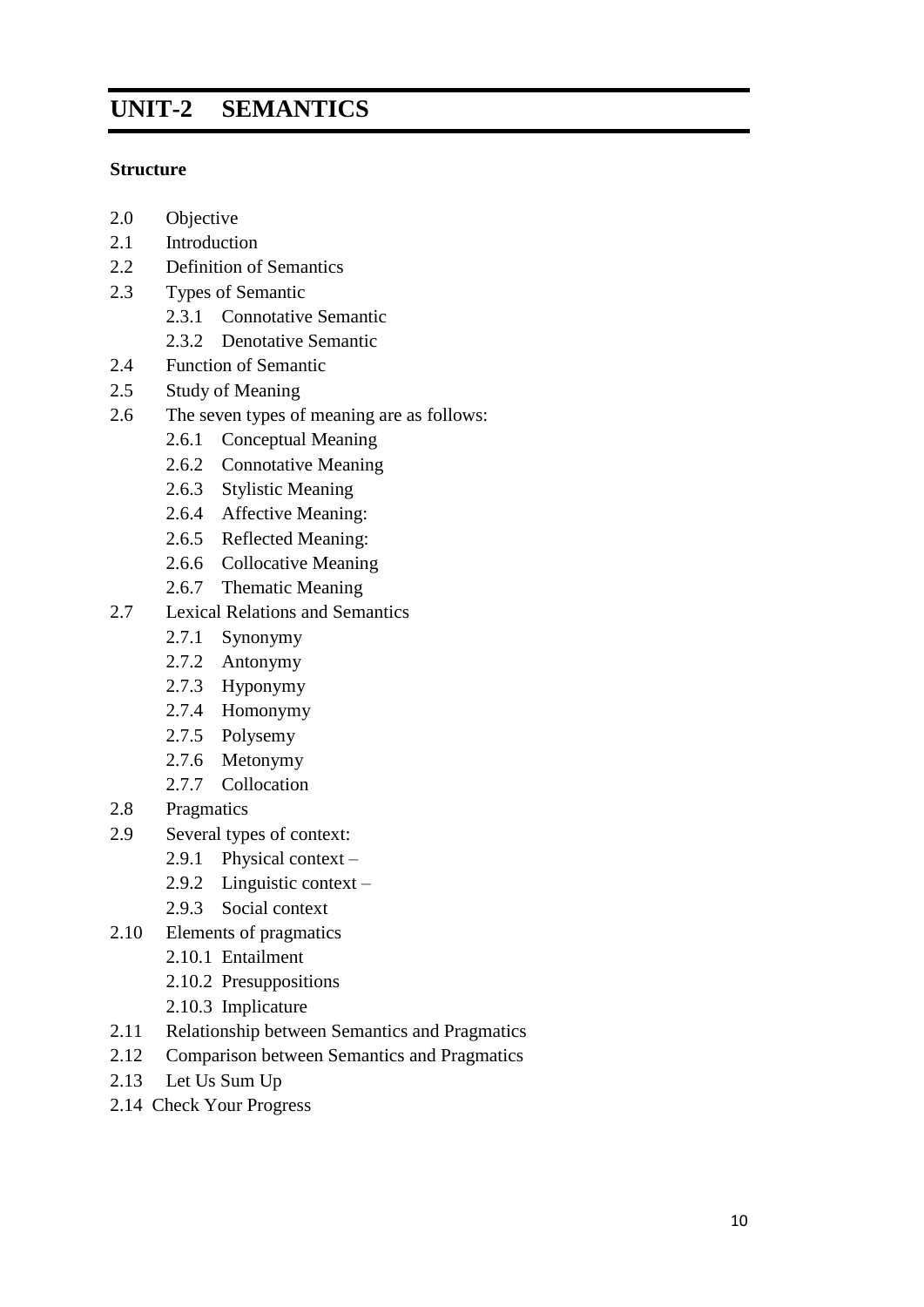early in life and likely to have reference to a physical situation (Larson, 1984: 100) It is said that the aim of denotative meaning is to provide, for any given interpretation of a sentence, a configuration of abstract symbols, which shows exactly what we need to know if we are to distinguish that meaning from all other possible sentence meaning in the language. It has a complex and sophisticated organization compared to those specific to syntactic or phonological levels of language. The principles of contrastiveness and constituent structure – paradigmatic and syntagmatic axes of linguistic structure- manifest at this level i. e. conceptual meaning can be studied in terms of contrastive features.

#### **2.6.2 Connotative Meaning:**

As we experience, words are human situations, they not only take on certain denotation, but also often acquire individual flavours. They have come to have emotive tone, the associations, and suggestiveness of the situation in which they have been a part. For example the words 'brink', this denotes on "edge". However in the phrase "The brink of the cliff" or" the brink of disaster", this word suggests danger and its emotive tone is that of fear. Connotative meaning is the communicative value with an expression of what it refers to. To a large extent, the notion of reference overlaps with conceptual meaning. The contrastive features become attributes of the referent, including not only physical characteristics, but also psychological and social properties, typical rather than invariable. Connotations are apt to vary from age to age, from society to society. Connotative meaning is peripheral compared to conceptual meaning, because connotations are relatively unstable. They vary according to cultural, historical period, experience of the individual. Connotative meaning is indeterminate and open- ended that is any characteristic of the referent, identified subjectively or objectively may contribute to the connotative meaning.

## **2.6.3 Stylistic Meaning:**

Stylistic meaning is that which a piece of language conveys about the circumstances of its use. A recent account of English has recognized some main dimensions of stylistic variation. For instance:

- 1. They chucked a stone at the cops, and then did a bunk with the loot.
- 2. After casting a stone at the police, they absconded with the money. Sentence (1) could be said by the two criminals, talking casually about the crime afterwards; sentence (2) might be said by the chief of the police in making the official report; both could describe the same happening (Leech, 1974: 15)

#### **2.6.4 Affective Meaning:**

Affective meaning is a sort of meaning which affect the personal feeling of the speakers, including his/her attitude to the listener, or his/her attitude to something he/she talking about. For example- (1) "I'm terribly sorry to interrupt, but I wonder if you would be so kind as to lower your voice as a little" or (2) "Will you belt up". Factors such as intonation and voice timbre are also important here. The impression of politeness in the sentence (1) can be reserved by tone of biting sarcasm; sentence (2)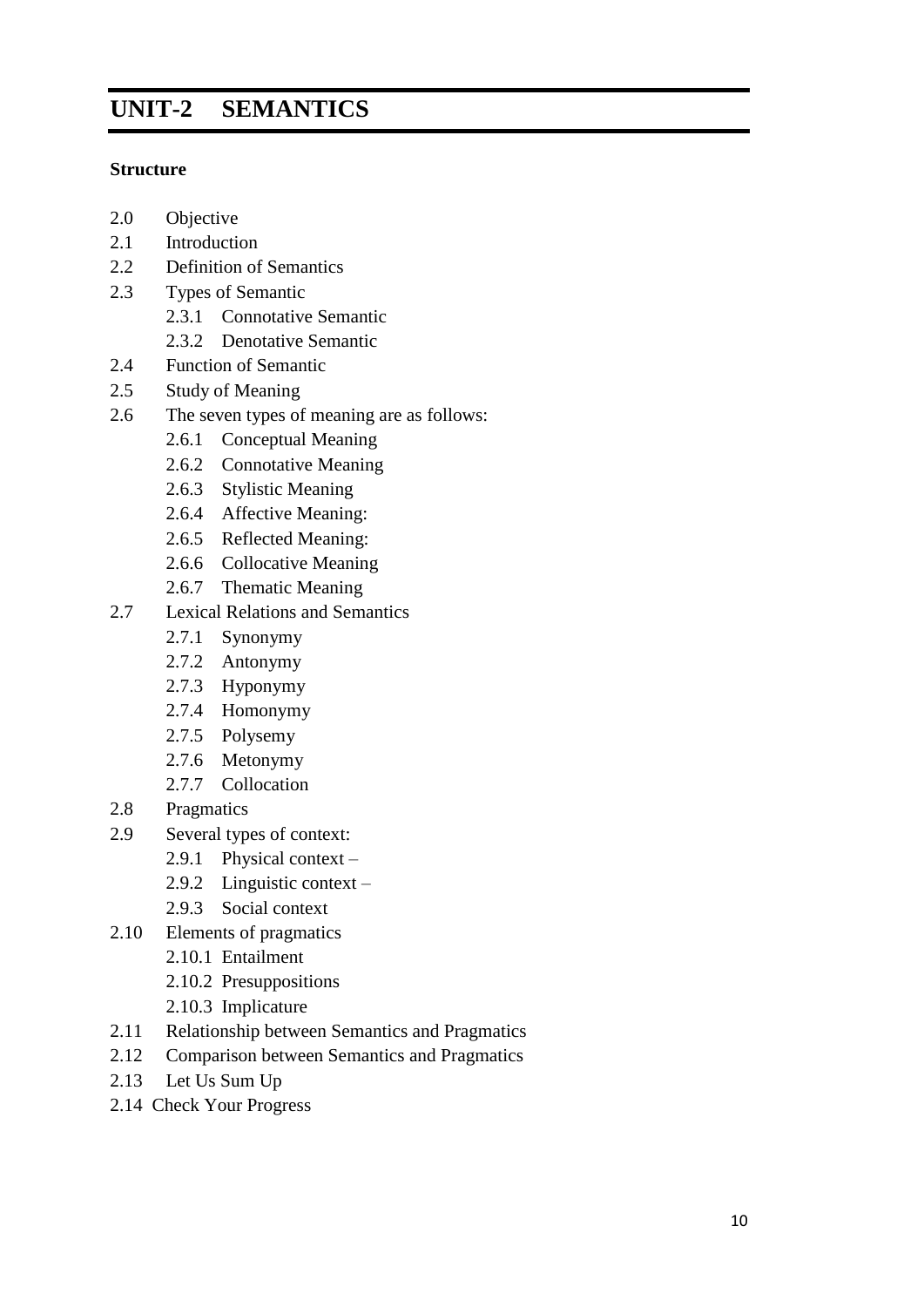can be turn into a playful remark between intimates if delivered with the intonation of a mild request. In considering the pragmatic dimension of meaning, we can distinguish between social and affective meaning. Social meaning is that which a piece of language conveys about the social circumstances of its use. In part, we 'decode' the social meaning of a text through our recognition of different dimensions and levels of style. One account (Crystal and Davy, Investigating English Style) has recognized several dimensions of socio-linguistic variation. There are variations according to: dialect i. e. the language of a geographical region or of a social class; - time, for instance the language of the eighteenth century; - province/domain I. e. the language of law, science, etc.; - status i. e. polite/ colloquial language etc.; - modality i. e. the language of memoranda, lectures, jokes, etc.; - singularity, for instance the language of a writer. It's not surprising that we rarely find words which have both the same conceptual and stylistic meaning, and this led to declare that there are no 'true synonyms'. But there is much convenience in restricting the term 'synonymy' to equivalence of conceptual meaning. For example, domicile is very formal, official, residence is formal, abode is poetic, home is the most general term. The way language reflects the personal feelings of the speaker, his/ her attitude towards his/ her interlocutor or towards the topic of discussion, represents affective meaning. Scaling our remarks according to politeness, intonation and voice- timbre are essential factors in expressing affective meaning which is largely a parasitic category, because it relies on the mediation of conceptual, connotative or stylistic meanings. The exception is when we use interjections whose chief function is to express emotion.

#### **2.6.5 Reflected Meaning:**

Reflected meaning involves an interconnection on the lexical level of language, it is the meaning, which arises in case of multiple conceptual meaning, when one sense of word forms part of our response to another sense. For instance, on hearing the Church service, the synonymous expressions The Comforter and The Holy Ghost both refer to the Third Trinity, but the Comforter sounds warm and comforting, while the Holy Ghost sounds awesome.

#### **2.6.6 Collocative Meaning**

Collocative meaning consists of the associations a word acquires on account of the meanings of the words, which tends to occur in its environment. For instance the words pretty and handsome share common ground in the meaning of good looking. But may be distinguished by the range of noun in which they are like to occur or collocate; Pretty woman and handsome man. The ranges may well match although they suggest a different kind of attractiveness of the adjectives. Collocative meaning remains an idiosyncratic property of individual words and it shouldn't be invoked to explain all differences of potential co- occurrence. Affective and social meaning, reflected and collocative meaning have more in common with connotative meaning than with conceptual meaning; they all have the same open- ended, variable character and lend themselves to analysis in terms of scales and ranges. They can be all brought together under the heading of associative meaning. Associative meaning needs employing an elementary 'associationist' theory of mental connections based upon contiguities of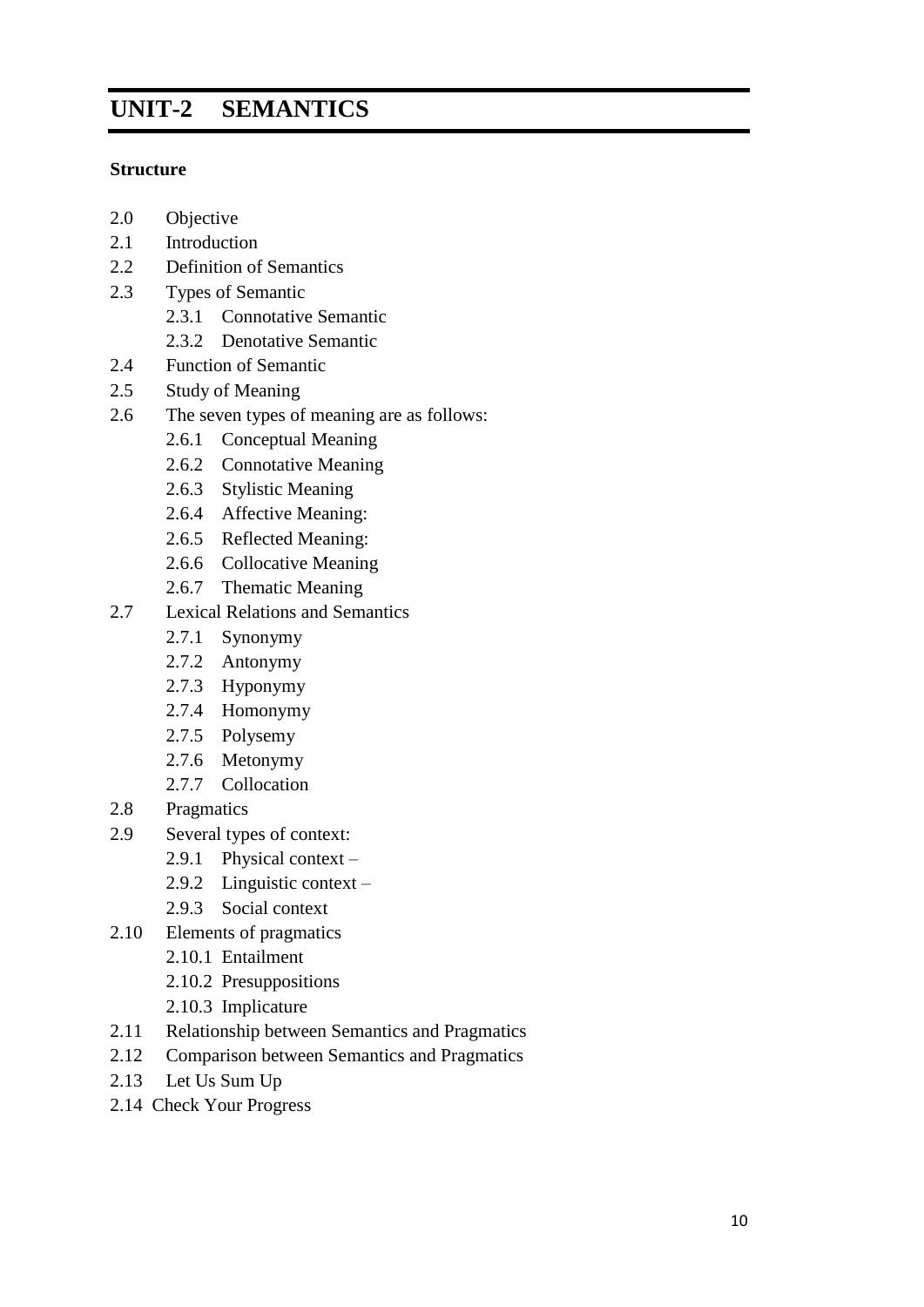experience in order to explain it. Whereas conceptual meaning requires the postulation of intricate mental structures specific to language and to humans, and is part of the 'common system'of language shared by members of a speech community, associative meaning is less stable and varies with the individual's experience. Because of so many imponderable factors involved in it, associative meaning can be studied systematically only by approximative statistical techniques. Osgood, Suci and Tannenbaum (The Measurement of Meaning, 1957), proposed a method for a partial analysis of associative meaning. They devised a technique – involving a statistical measurement device, - The Semantic Differential -, for plotting meaning in terms of a multidimensional semantic space, using as data speaker's judgements recorded in terms of seven point scales.

#### **2.6.7 Thematic Meaning**

This is the final category of meaning, thematic meaning is the meaning that is communicated by the way in which the speaker or writer organizes the message, in terms of ordering, focus, and emphasis. It is often felt an active sentence such as (1) below has a different meaning from its passive equivalent (2) although in conceptual content they seem to be the same (Leech. 1974: 19) 1. Mrs. Bessie Smith donated the first prize. 2. The first prize was donated by Mrs. Bessie Smith We can assume that the active sentence answers an implicit question "what did Mrs. Bessie Smith donate?", while the passive sentence answer the implicit question "who donates the first prize?", that in other words (1) in contrast to se (2) suggest that we know who Mrs. Bessie Smith.

#### **2.7 LEXICAL RELATIONS AND SEMANTICS**

This section would analyse the sematics in terms of lexical relations. It explains the meaning in terms of the relationship with other words and phrases. • Synonymy • Antonymy • Hyponymy • Prototype • Homophones and Homonyms • Polysemy

#### **2.7.1 Synonymy**

Here words that have the same meanings or that are closely related in meaning. Sameness' is not 'total sameness'- only one word would be appropriate in a sentence. – E.g. Sandy only had one answer correct on the test. (but NOT reply) Exampleanswer/reply - almost/nearly - broad/wide - buy/purchase - freedom/ liberty

#### **2.7.2 Antonymy**

Here words that are opposites in meaning, e.g. hot & cold Example- happy/sad married/single - present/absent - fast/slow

#### **2.7.3 Hyponymy**

Words whose meanings are specific instances of a more general word, i.e. one thing is included (kind of) in another thing. Example. cats and dogs are the hyponyms of the word animal. - daffodil & flower - carrot & vegetable - ant & insect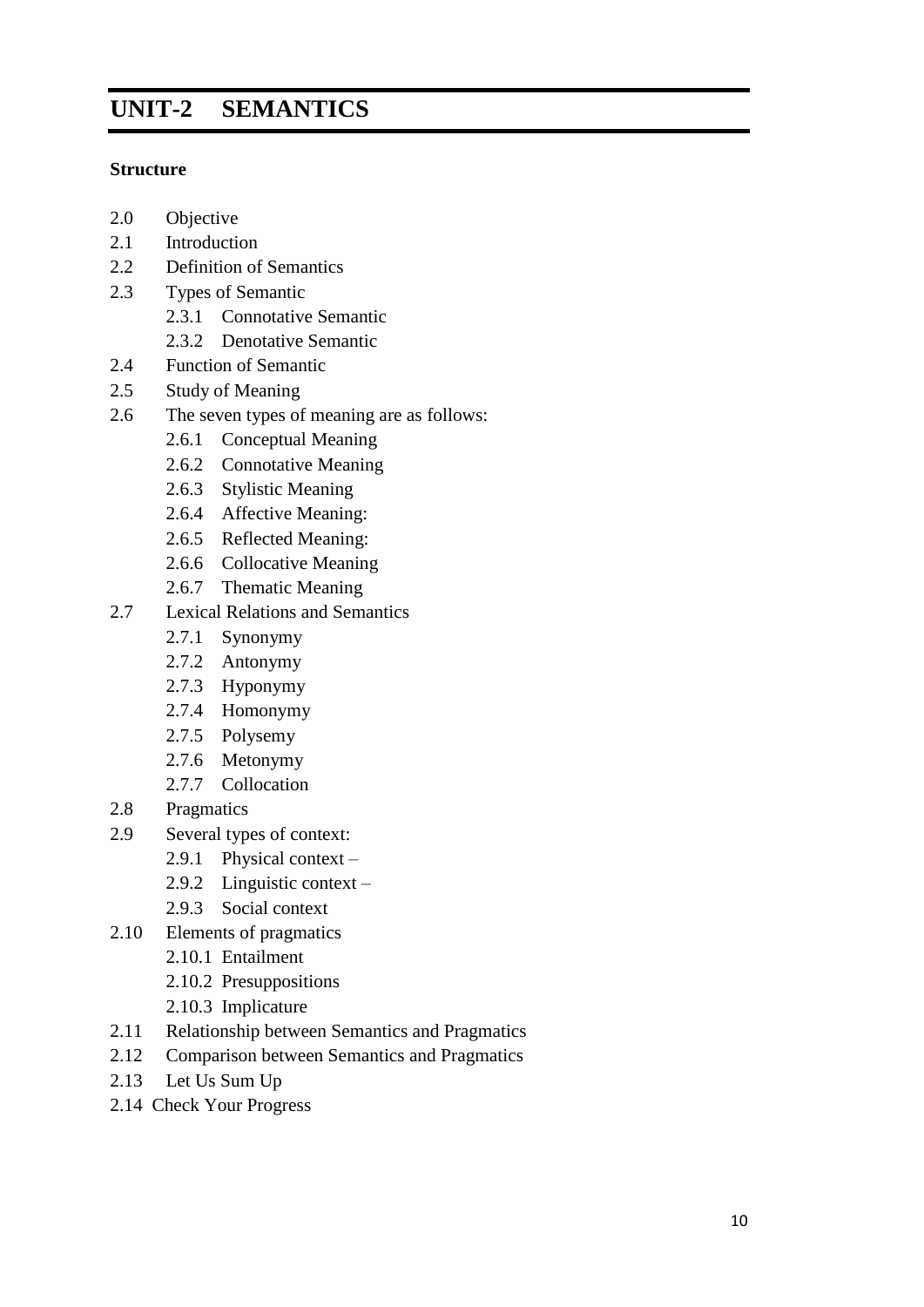# **2.7.4 Homonymy**

A word which has two or more entirely distinct (unrelated) meanings, Example- bank: financial institution, or 'of a river'. – Bat: 'flying creature'or 'used in sports' – Race: 'contest of speed' of 'ethnic group' 26.7.5. Homophony Different words pronounced the same but spelled differently, Example- two, to and too. – Flour and flower – Meat and meet – Right and write

# **2.7.5 Polysemy**

A word which has multiple meanings related by extension, Example- bright: shining ; intelligent – 'Head' of the body and the person at the top of a company. – 'Foot' of a body and of a mountain and of the bed or chair. – 'Run' a person runs, the water runs

# **2.7.6 Metonymy**

Metonymy is "a figure of speech in which an attribute or commonly associated feature is used to name or designate something." A short definition is "part for whole." What do you think about these sentence? A word substituted for another word with which it is closely associated. – He drank the whole bottle. (container-content) – The White House announced. (king-crown) – I gave her a hand. (whole-part)

# **2.7.7 Collocation**

Collocation happen when words tend to occur with other words. Example- table/chair - Butter/bread - Salt/pepper - Hammer/ nail

# **2.8 PRAGMATICS**

Pragmatics is the study of how language is used and of the effect of context on language. Pragmatics makes uses of three major communication skills like using language, changing language and following rules. Using language in context to different purposes like for greeting one uses words like "hello". Changing language is all about the change in language which is based on the needs of a listener or situation. For example the way one tells an instruction to a child than to an elderly person. Following rules is about the rules of conversations or in storytelling like one rephrases if the listener is not able to grasp the orator. Pragmatics plays a major role in discourse. When the speaker and the hearer share knowledge about the world, therefore, both the speaker and the hearer will make assumptions according to the shared knowledge. "Pragmatics" refers to the strategies (exploitation of shared knowledge, assumptions about communicative intent, etc.), by which language users relate the dictionary/grammar meaning of utterances to their communicative value in context. "Pragmatics" generally refers to the encoding of particular communicative functions, especially those relevant to interpersonal exchanges, in specific grammatical and lexical elements of a given language.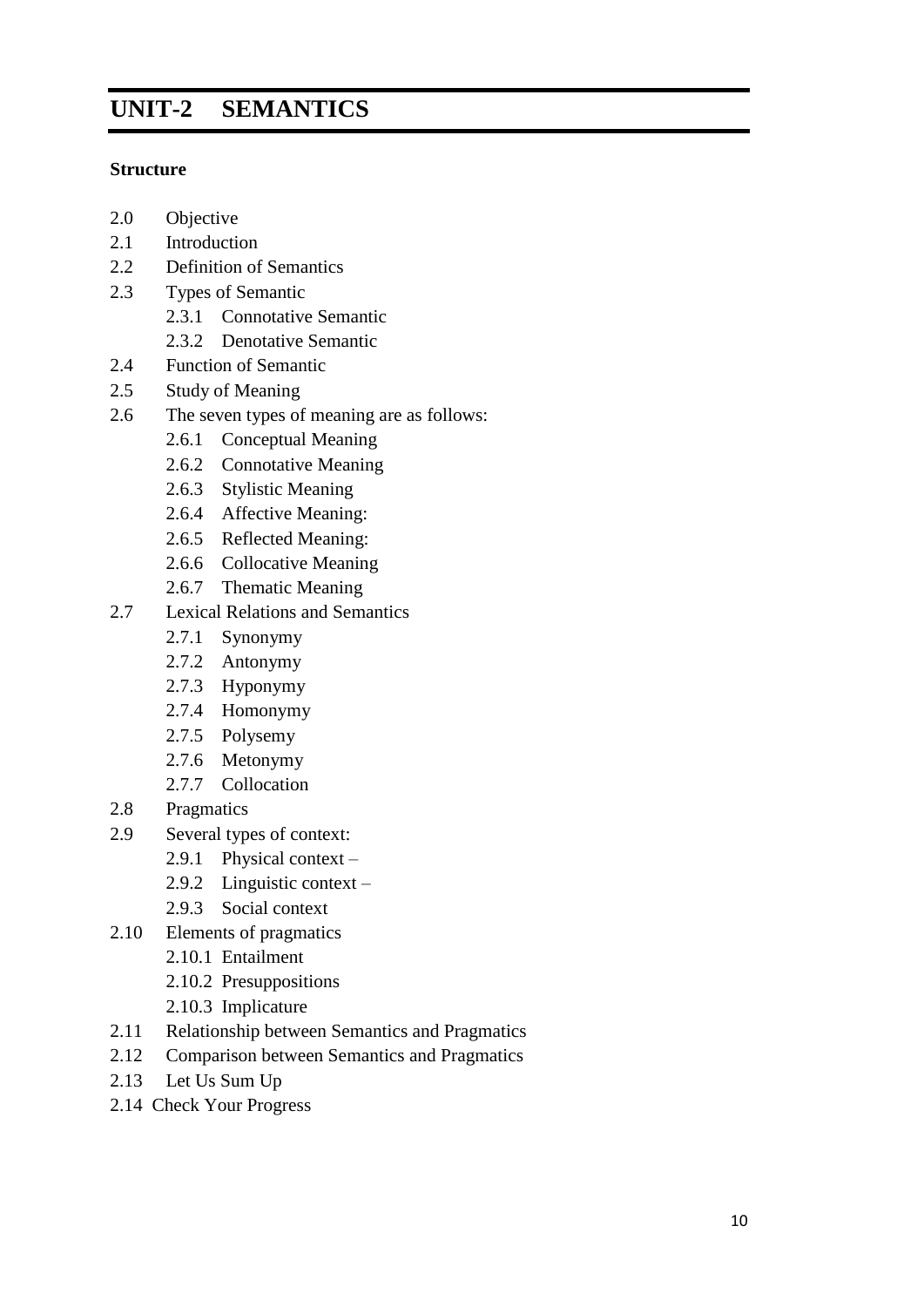#### **2.9 SEVERAL TYPES OF CONTEXT**

#### **2.9.1 Physical context –**

Objects surrounding the communication, place and time of the communication, what is going on around, etc. a. I want that book. accompanied by pointing b. Be here at 9:00 tonight. place/time reference

#### **2.9.2 Linguistic context –**

what has been said before in the conversation. a. Linda came home late yesterday. She thought nobody would notice. b. If my mom heard you talk like that,...

**2.9.3 Social context -** the social relationship of the people involved in communication. (3) a. To the President: #Mr. President, stop bugging me and go home.

## **2.10 ELEMENTS OF PRAGMATICS**

Pragmatics includes a wide range of topics and elements that helps verifying the working process of all its elements which they are listed below:

#### **2.10.1 Entailment**

While defining pragmatics, it has been observed that interpreting utterances involves a considerable amount of in elegant guess work where the hearer draws Inference from the speaker's words to arrive at the speaker's meaning. In this section, we will look at Entailment a relationship between two sentences where the truth of one (A) requires the truth of the other (B). For example, the sentence (A) the president was assassinated. Entails (B) The president is dead. Notice also that if (B) is false, then (A) must necessarily be false. To show entailment, we must show that (A) true forces (B) to be true and (B) false forces (A) to be false. (ibid). We will look at another kind of inference below (presuppositions).

#### **2.10.2 Presuppositions**

We look at presupposition another kind of inference, which is very closely linked to the working of the utterance. A presupposition is a background belief, relating to an utterance, which must be mutually known or assumed by the speaker and hearer for the utterance to be considered appropriate in context will generally remain a necessary assumption whether the utterance is placed in the form of an assertion, denial, or question, and can be associated with a specific lexical item or grammatical feature (presupposition trigger) in the utterance. In pragmatics, a presupposition is an assumption about the world whose truth is taken for granted in discourse. Examples of presuppositions include: 1- Do you want to do it again? Presupposition: You have done it already, at least once. 2- My wife is pregnant. Presupposition: The speaker has a wife. Presuppositions are inferences that are very closely linked to the words and grammatical structures actually used in the utterance, but they come from our knowledge about the way language users conventionally interpret these words and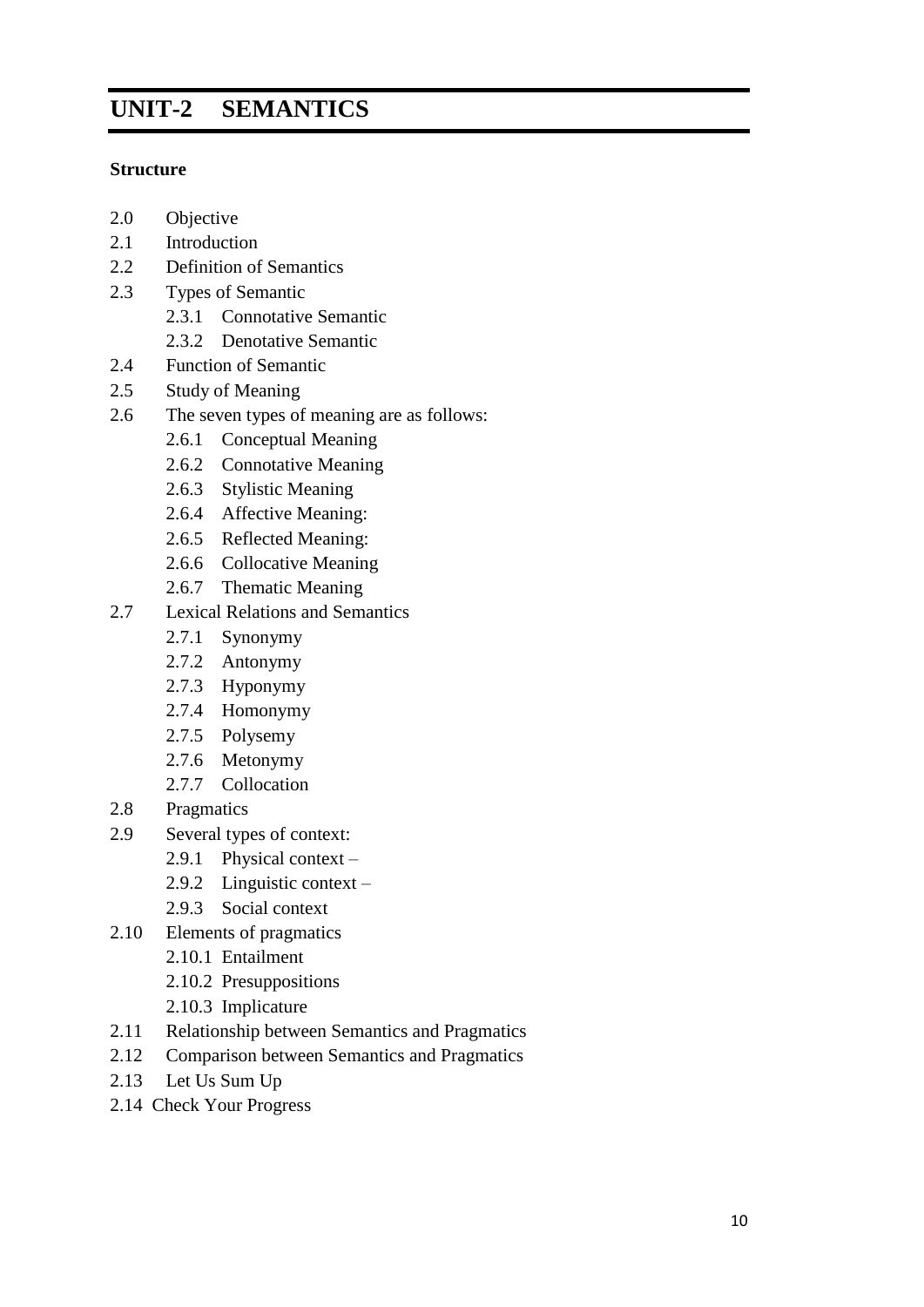structures. After giving definition to presupposition and giving examples to illustrates the definition. We will look at another kind of inference, it is (Implicature).

## **2.10.3 Implicature**

Another subject related to pragmatics is "Implicature" which is, anything that is concluded from an utterance, but that is not a condition for the truth of the utterance. It is a technical term in the linguistic branch of pragmatics coined by Paul Grice. It describes the relationship between two statements where the truth of one suggests the truth of the other, For example, the sentence "Mary had a baby and got married" strongly suggests that Mary had the baby before the wedding, but the sentence would still be strictly true if Mary had her baby after she got married. Further, if we add the qualification " not necessarily in that order" to the original sentence, then the implicature is cancelled even though the meaning of the original sentence is not altered. This can be contrasted with cases of entailment. For example, the statement "The president was assassinated" not only suggests that "The president is dead" is true, but requires that it should be true. The first sentence could not be true if the second were not true; if the president were not dead, then whatever it is that happened to him would not have counted as a (successful) assassination. Similarly, unlike implicatures, entailments cannot be cancelled; there is no qualification that one could add to "The president was assassinated" which would cause it to cease entailing "The president is dead" while also preserving the meaning of the first sentence".

# **2.11 RELATIONSHIP BETWEEN SEMANTICS AND PRAGMATICS**

A comparison of semantics and pragmatics is a very large undertaking and a simple essay does not provide a sufficient venue for discussing all of the ideas and notions related to the many different views of semantics and pragmatics. The study presents the comparison of semantics and pragmatics from a linguist's point of view. The two branches of linguistics, i.e. semantics and pragmatics, deal with the meaning of language and link language to the world. Each branch deals with meaning differently; yet, many students of linguistics confuse the two terms. The only obvious similarity between the two branches is that they both deal with the meanings of words and sentences but in different ways.

- Semantics and Pragmatics are branches of Linguistics. Both of them deal with the study of meaning. Semantics deals with the study of meaning of word without the context. On the other hand, Pragmatics understands the language meaning but keeping the context in mind.
- Pragmatics is the study of the ability of natural language speakers to communicate more than that which is explicitly stated. The ability to understand another speaker's intended meaning is called pragmatic competence. An utterance describing pragmatic function is described as metapragmatics. Another perspective is that pragmatics deals with the ways we reach our goal in communication. Suppose, a person wanted to ask someone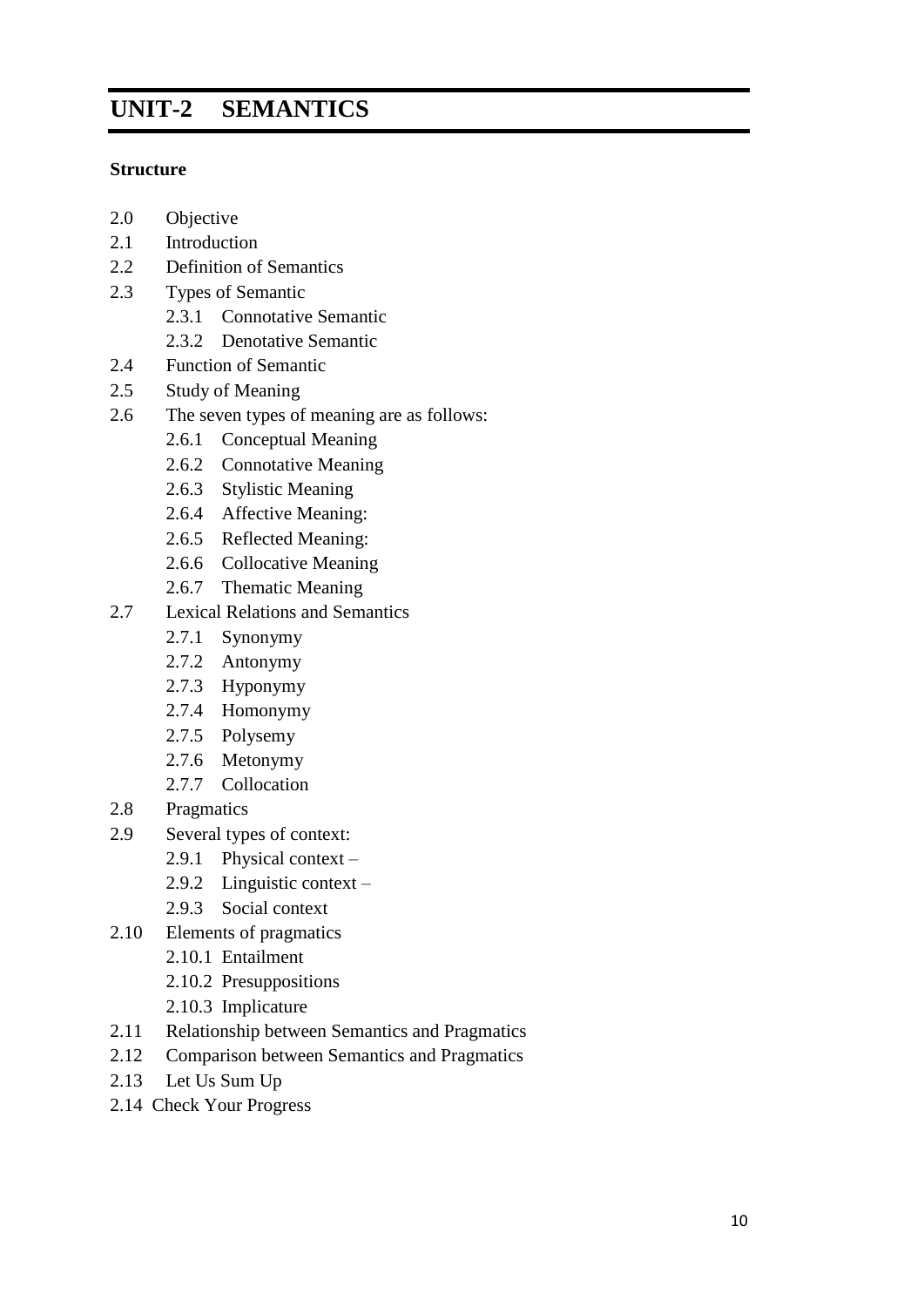else to stop smoking. This can be achieved by using several utterances. The person could simply say, 'Stop smoking, please!' which is direct and with clear semantic meaning; alternatively, the person could say, 'Whew, this room could use an air purifier' which implies a similar meaning but is indirect and therefore requires pragmatic inference to derive the intended meaning.

- While Semantics concentrates on the meaning that comes from linguistic knowledge, Pragmatics concentrates on those aspects of meaning that cannot be predicted by Linguistic knowledge alone and takes into account our knowledge about the physical and the social world. The focus of pragmatic analysis is on the meaning of speakers' utterances rather than on the meaning of words or sentences. Utterances need not consist of complete focus of pragmatic analysis is on the meaning of speakers' utterances rather than on the meaning of words or sentences. Utterances need not consist of complete sentences. Each utterance is a unique physical event created at a particular point in time for a particular communicative purpose. In our point of view, pragmatics helps the translator or the interpreter in finding clues in the utterances the speakers make which leads him to find the appropriate equivalent in the target language.
- Semantics covers what expressions mean, while pragmatics covers what speakers mean in using the expressions.
- • Pragmatics involves how speakers use language in contextualized social interactions, how they do things with words. Semantics invites a focus on meaning and truth conditions without regard to communication and context.
- The word Semantics is derived from the Greek word semantikos meaning to show or give signs. Semantics is the study of meaning. It covers a lot of study areas related to language. Semantics help in getting a sense of meaning in context to speakers, writers, readers of learners. It also helps in known that how the meanings got change over a period of time.
- Semantics is all about question of meaning, whereas Pragmatics is all about questions of use. It deals with that aspect of meaning which is dependent on the context. Semantics deals with the study of what signs denote. On the other hand, Pragmatics deals with the relation of signs to their users and interpreters.
- Semantics is limited to the relation of words to which they refer, whereas pragmatics covers the study of relationships between words, the interlocutors and also the context.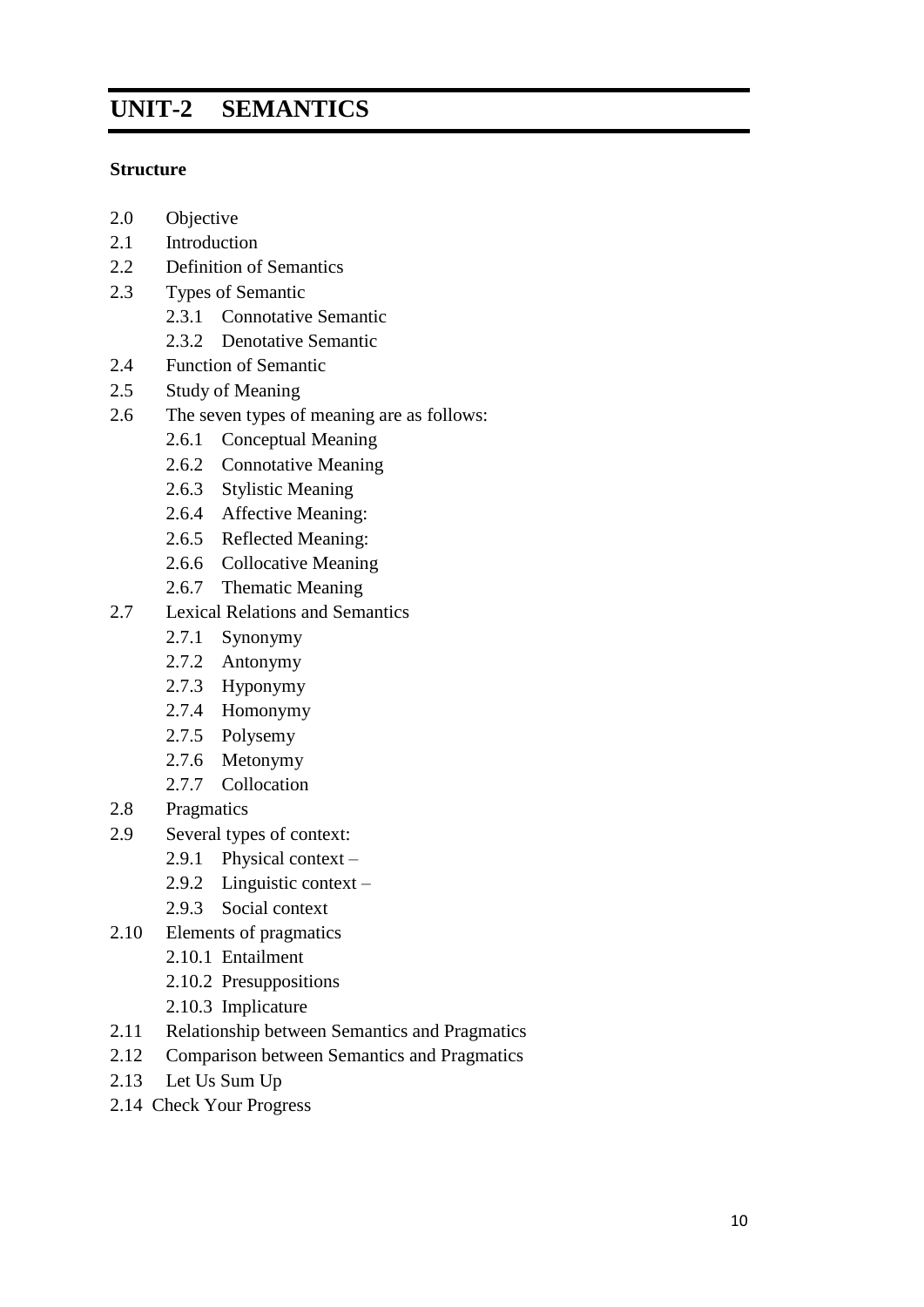### **2.12 COMPARISON BETWEEN SEMANTICS AND PRAGMATICS**

|                         | Semantics                         | Pragmatics                     |
|-------------------------|-----------------------------------|--------------------------------|
| Definition              | <b>Semantics</b><br>is<br>another | Pragmatics understands         |
|                         | important field related to        | the language meaning           |
|                         | theoretical linguistics. It       | but keeping the context        |
|                         | is all about studying the         | in mind.                       |
|                         | meaning of linguistic             |                                |
|                         | expressions.                      |                                |
| Focus                   | Meaning                           | Language                       |
| Scope                   | Narrow as it deals with           | Broad as it deals with         |
|                         | only meaning                      | aspects beyond text            |
| Meaning of an Utterance | Context independent               | Context independent            |
| Domain                  | Grammar                           | Rhetoric                       |
| Example                 | Semantics deals with the          | The sentence 'It is very       |
|                         | conditions under which            | cold' by the speaker may       |
|                         | the proposition expressed         | mean that temperature is       |
|                         | by a sentence is true.            | low (semantic approach),       |
|                         | These are known as truth          | other<br><sub>or</sub><br>some |
|                         | conditions. 'The red cup          | explanation. A Pragmatic       |
|                         | is on the table' is True if       | may also like to consider      |
|                         | and only if the red cup is        | that may be the speaker        |
|                         | really on the table.              | wants to switch on the         |
|                         |                                   | blower and used<br>the         |
|                         |                                   | statement "it is very          |
|                         |                                   | cold" as an associated         |
|                         |                                   | sentence.                      |

## **2.13 LET US SUM UP**

The Unit has tried to analyse the basic concept of Semantics and Pragmatics. It has presented various types of semantics on the basis of the occurrence of the meaning. The unit has also tried to bring out various types of meaning in various context and the formation of meaning in the sentence. It has discussed the term Pragmatics and several types of contexts in which meaning is formed in regard to the pragmatics. It has also presented different elements of pragmatics such as Entailment, Presupposition and Implicature. The study has broadly come up with the study of relationship between Semantics and Pragmatics.

# **2.14 CHECK YOUR PROGRESS**

| 1. | What is Semantics and Pragmatics? |
|----|-----------------------------------|
|----|-----------------------------------|

………………………………………………………………………………………… …………………………………………………………………………………………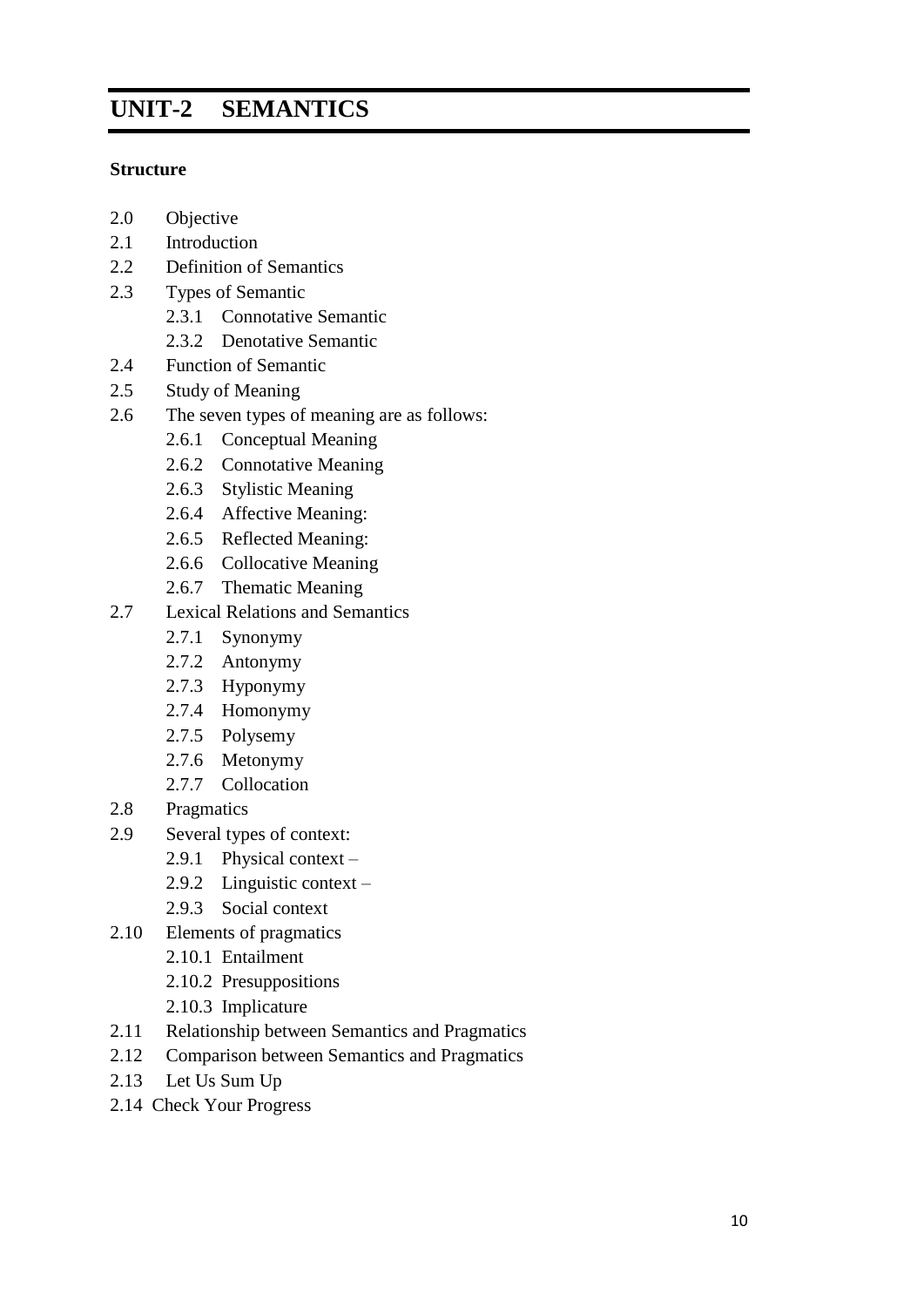$\ldots$ 

#### Define Implicature? 2.

#### $3.$ What are the Elements of pragmatics?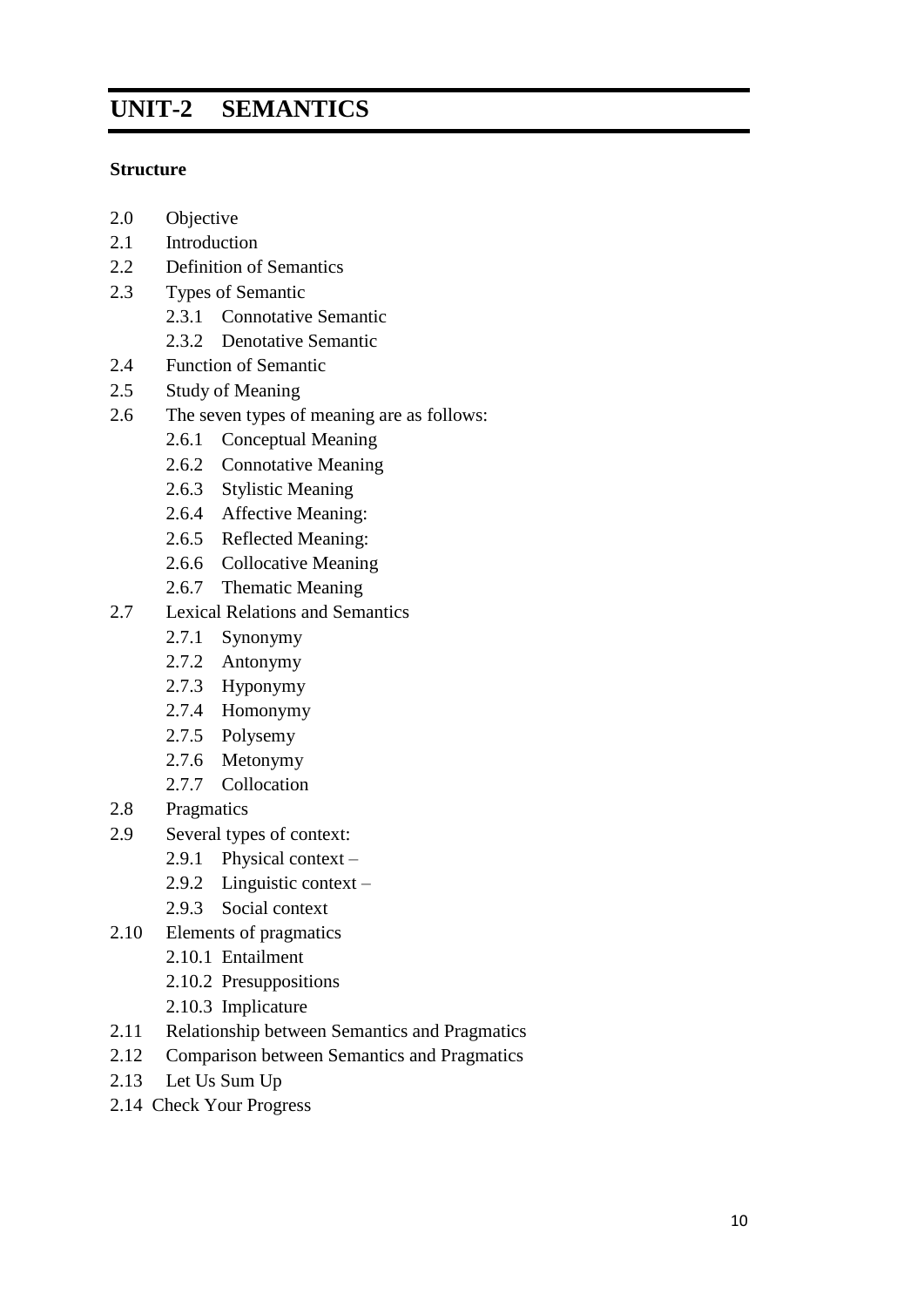# **UNIT-3 PRINCIPLES OF SEMANTIC COMPOSITION**

#### **Structure**

- 3.0 Objectives
- 3.1 Introduction
- 3.2 Reference, Denotation
- 3.3 Reference and the Semantics of (Declarative) Sentences
- 3.4 Semantic Theory and Truth Conditions
- 3.5 Let Us Sum Up
- 3.6 Check Your Progress

# **3.0 OBJECTIVES**

In this unit you will read the problem of

- $\triangleright$  compositionality in semantics
- $\triangleright$  rules of semantic composition
- $\triangleright$  the structure of a semantic theory.

# **3.1 INTRODUCTION**

There are three broad families of approaches to the systematic study of meaning in natural language. These are complementary to each other in that each focuses on somewhat different aspects of linguistic meaning. The first approach, called referential or denotational, concentrates on the informational significance of language. It takes as its starting point the "aboutness" of language, the fact that part of what we call linguistic meaning involves connections between symbols and objects external to the human organism, and way information is conveyed by a potentially infinite range of symbols obtained by combining simpler units. This family of approaches stems from work in philosophical logic, but also uses resources from modern linguistic theory: syntax in particular. The second family of approaches takes an internalist view, and is mainly concerned with the cognitive significance of language and how concepts are internally represented and combined to express a range of thoughts This family of approaches underlies much work in psychology and artificial intelligence. A third family of approaches concerns itself with social aspects of meaning, and the role of social interaction in the expression of meaning. In this unit, we provide a brief outline of what a theory of the first type would look like.

# **3.2 REFERENCE & DENOTATION**

To see what a compositional theory of semantics that deals with the "aboutness" of language would look like, we could first start with NPs that appear to be referring expressions in the sense that their chief semantic property is the connection they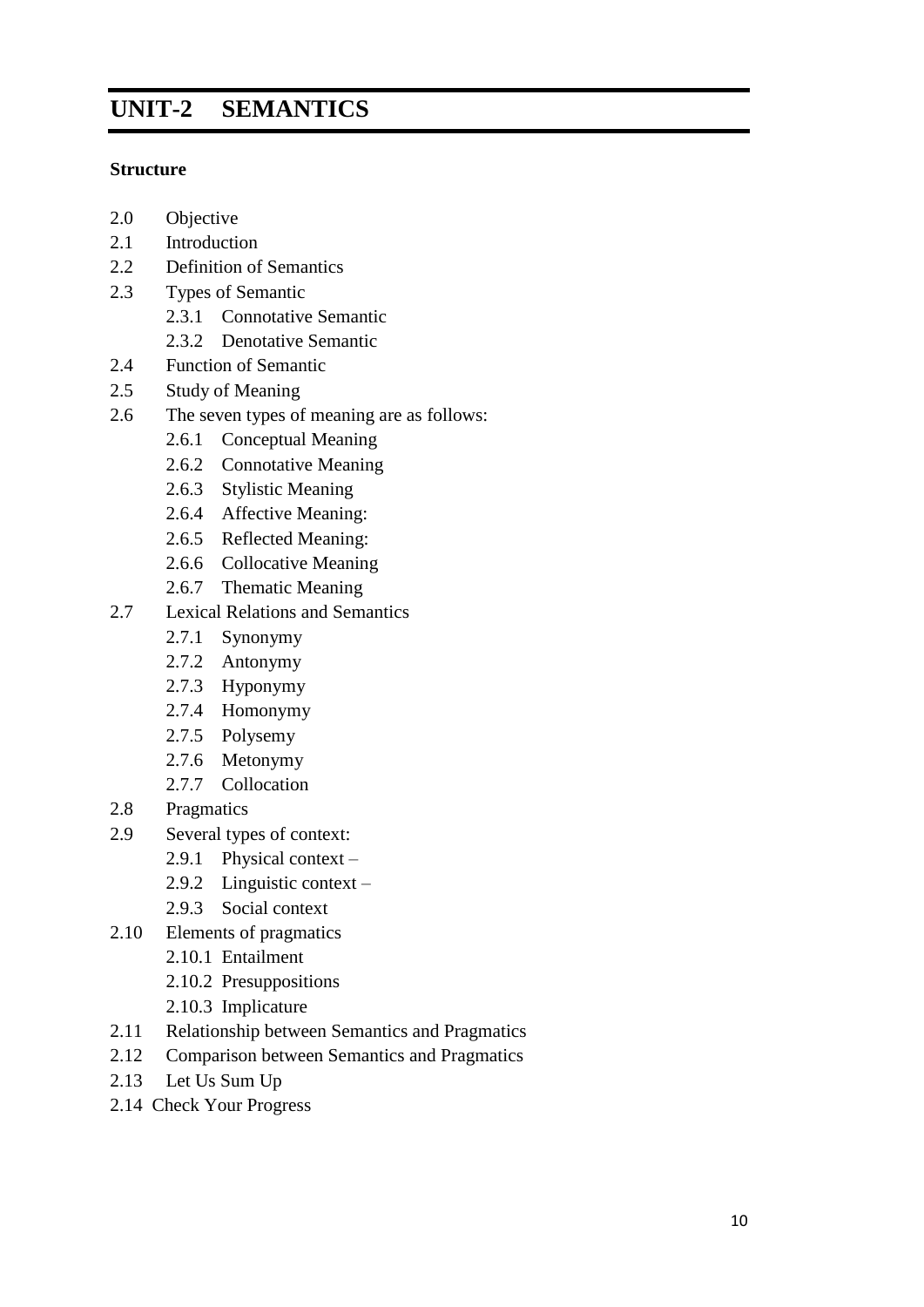establish between a linguistic expression and a thing being referred to. Referring expressions would include demonstrative pronouns and proper names, e.g. Suppose I point to a chair near me and utter (1):

(1) This chair is black.

The NP "this chair" refers to a thing. It's chief semantic function is to establish a connection between the symbol itself and the thing (namely, the black chair) being referred to. Of course, it also has some independent content as well (which distinguishes, e.g, "this chair" from "that chair" and so on), but there is a clear sense in which it refers to a thing. Definite descriptions often have a similar function: while they have a descriptive content, they are often used to refer to things. This can be seen from the fact that singular definite descriptions in English, in order to be felicitous must be such that there is a unique object that satisfies its descriptive content, as seen in the following example:

- (2) a. The present king of India is a scholar of classical languages.
- b. The book that Arthur Conan Doyle wrote is about Sherlock Holmes.

What makes (2a) odd (if you know that India has no king at present) is that nothing satisfies the descriptive content *present king of India*. What makes (2b) odd, on the other hand (if you know that Arthur Conan Doyle wrote many books) is that more than one object satisfies the descriptive content *book that Arthur Conan Doyle wrote*. In this respect they are exactly like proper names in that they are used to refer to a thing, as in the following example

- (3) a. Pavarotti is a corpulent tenor.
- b. Utpal was born in Kolkata.

In (3), the proper names *Pavarotti* and *Utpal* can be taken to refer to things, namely, the persons being talked about. Referring expressions can refer to other kinds of objects, as in the following plural definite descriptions, where they arguably refer to classes of objects, as in the following examples:

- (4) a. The students in my class are wearing green shirts today.
- b. The students in this class outnumber the students in that class.

In (4a), one is making a statement about individual member of the set denoted by "the students in my class"; whereas in (4b), one is making a statement about the size of two sets. Similarly some NPs can refer other kind of objects that are not concrete:

- (5) a. Platinum is an expensive metal.
- b. Going to bed early is healthy.
- c. Kindness is an admirable quality.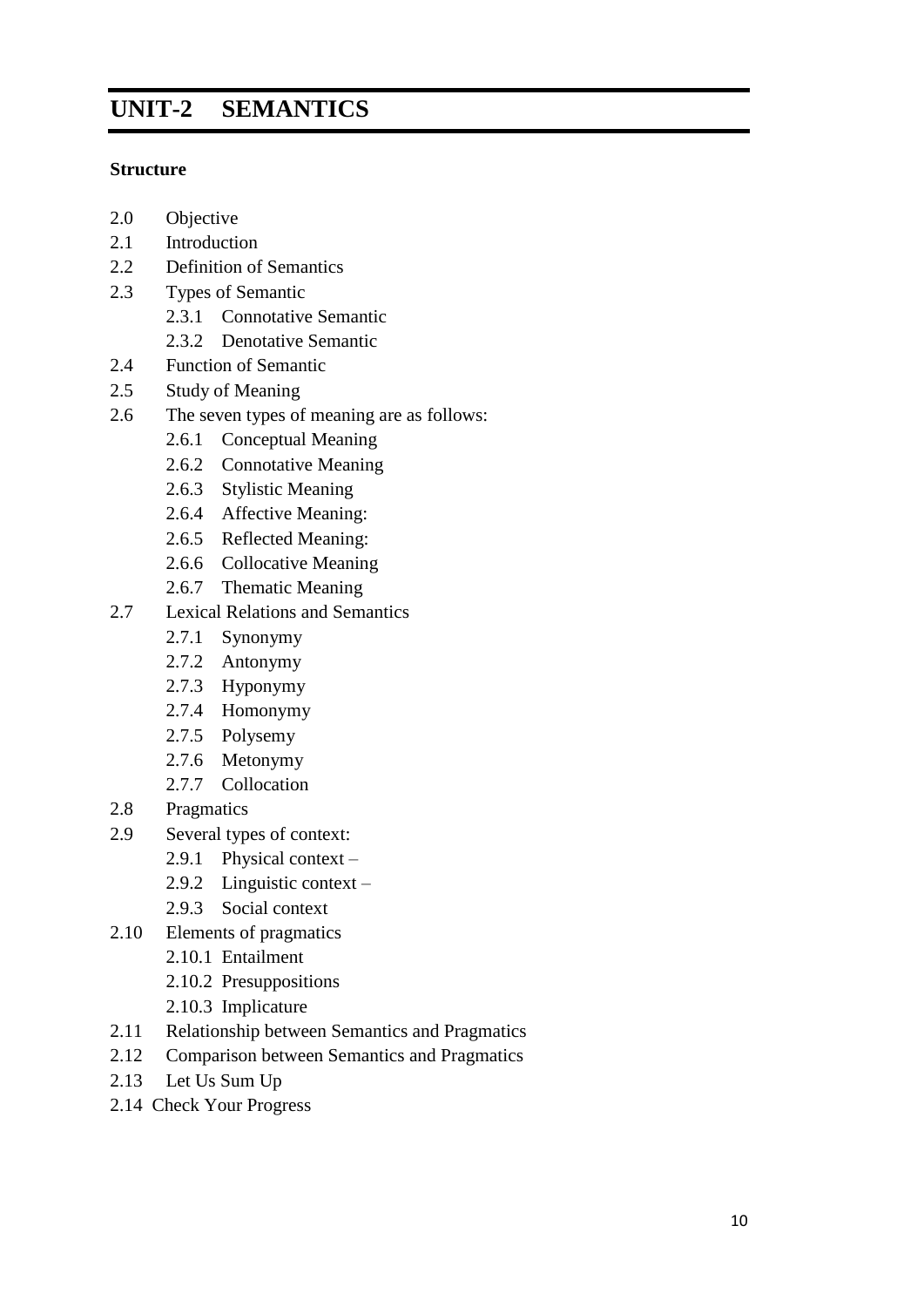In (5), the referring expressions refer to substances, activities and abstract qualities, respectively. So in (5b), *platinum* refers, not to concrete pieces of a metal, but rather the substance *platinum*, and so on. NPs can also refer to fictional characters, as in

(6) Kumbhakarna is an idiot.

In fact, even in the apparently clear cases where proper names seem to refer to things, what exactly they refer to presents various philosophical puzzles that have semantic significance. To see this, consider the example (3b) above, where *Utpal* refers to a person (the author of this unit). Suppose you take (3b) to be true, and hear someone say the following:

(7) If Utpal were not born in India and came from Delhi instead, he wouldn't be speaking Bangla so well.

The sentence in (7) makes perfect sense, and could be taken be true even in many circumstances in which (3) is true, and yet we have a sense that Utpal refers to the same object in both sentences. In other words, proper names cannot simply be taken to be a standby for definite descriptions that uniquely pick out a thing, since one may felicitously use a proper name in contexts where you are invited to consider the possibility that the thing being referred to doesn't satisfy those descriptions. (Would *Utpal* be the same person if he were born in Delhi instead?) This is particularly clear in place names, as in the city name *Baghdad*.

(8) Baghdad is the capital of Iraq.

Baghdad is a city that dates to ancient times, has been destroyed several times in history, and so clearly is not the same physical object over the entire course of history. But we seem to have no problem using the proper name *Baghdad* for something in all its incarnations.

Some philosophers and linguists have taken this to indicate that one could dispense with the notion of an individual or the notion of reference. This doesn't necessarily follow, however. For one, the notion of an individual or reference is needed to support a theory of entailment and the various semantic phenomena and the implication relations discussed in the previous units. Here we simply take note of the puzzles and note the possibility that these notions might simply link semantics to theories of how various objects are conceptualized. (This would also establish a link between the denotational theories discussed in this unit with more conceptualist or internalist approaches to semantics mentioned in the Introduction).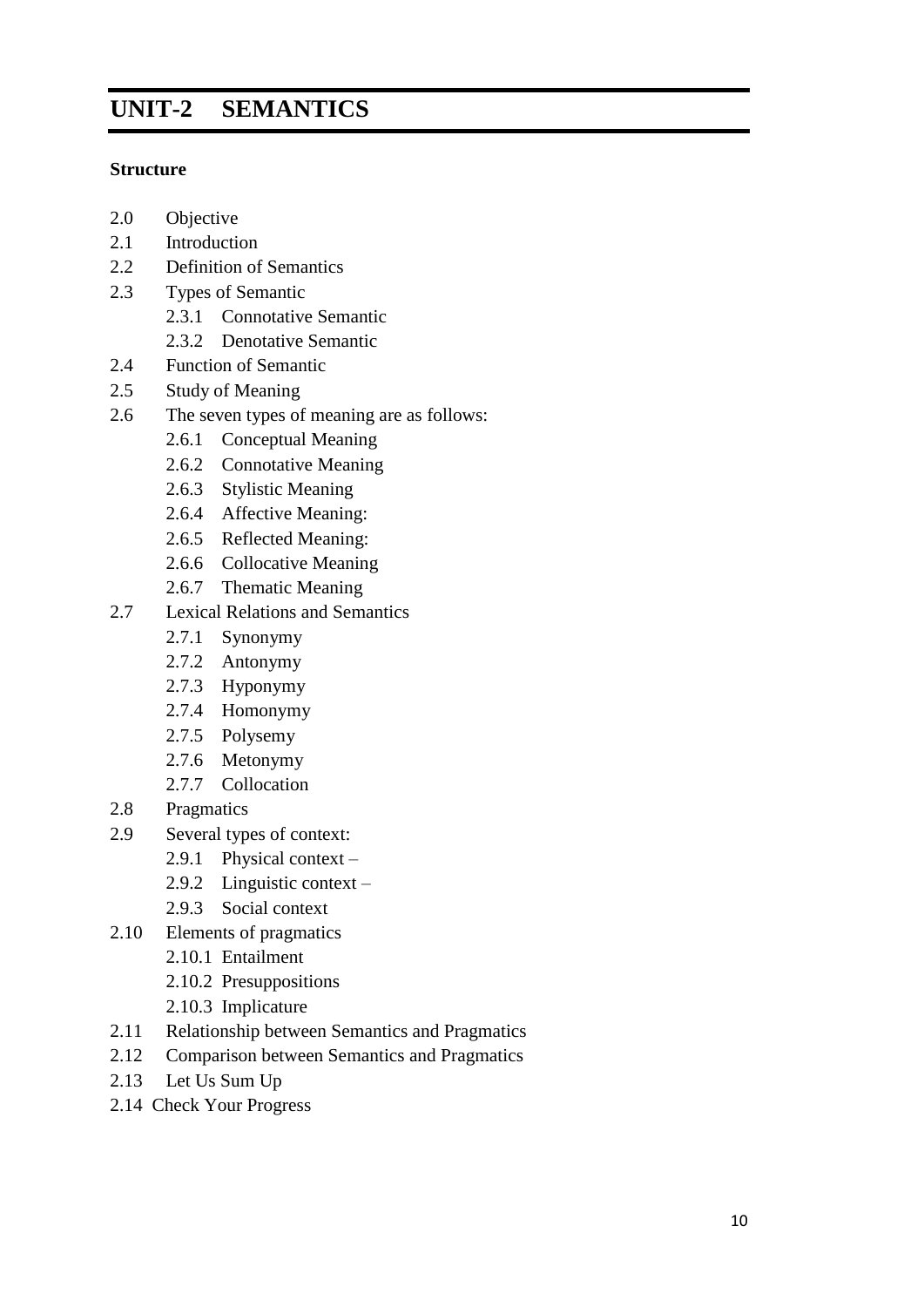# **3.3 REFERENCE AND THE SEMANTICS OF (DECLARATIVE) SENTENCES**

We saw examples before of NPs that can be taken to be referring expressions. Can other linguistic expressions have a reference? Consider the following sentence

(9) It snows in Kashmir.

We have an example in (9) of a declarative statement, i.e., a linguistic expression capable of being true or false. Can sentences be said to have a reference? It is not at all obvious what the notion of "reference" for a sentence might be. However, there is an argument implicit in the work of the philosopher Frege that says that *if* sentences can be taken to have (something like) reference, that something must be its truth value. An explicit version of this argument, called the "slingshot argument" is due to the philosopher John Perry, and goes as follows. Let us assume two principles that seem to be true necessarily.

- A. If two expressions A and B have the same content (i.e., they entail each other) they have the same reference.
- B. If an expression A contains an expression B and we replace B in A with another expression C which has the same reference as B, to get A', the reference of the resulting expression A' must be the same as that of A. (This principle is called Leibniz's Law, following some proposals of the philosopher and mathematician Leibniz)

The truth of these two principles can be illustrated by looking first at expressions that are clearly referring expressions, namely, definite descriptions. So *John's sister* and *the daughter of John's parents* are content-synonymous, as they say the same thing. (While the notion of entailment does not directly apply to NPs, we can extend the notion to NPs by saying that two NPs NP1 and NP2 entail each other if every statement containing NP1 entails the corresponding statement obtained by replacing NP1 with NP2 in it, and vice versa.) Clearly, the two NPs just mentioned have to have the same reference. To illustrate B, we simply note that, for example, the NP *the husband of John's sister* has the same reference as *the husband of the daughter of John's parents*. This means something like B has to be right.

To extend the discussion now to declarative sentences, let us consider two sentences that have nothing in common except that they are either both true or both false. I will illustrate the point by taking two sentences that one knows to be false: one can make the same point with two true statements. Consider:

(10) a. Pavarotti is French.

b. It never snows in Kashmir.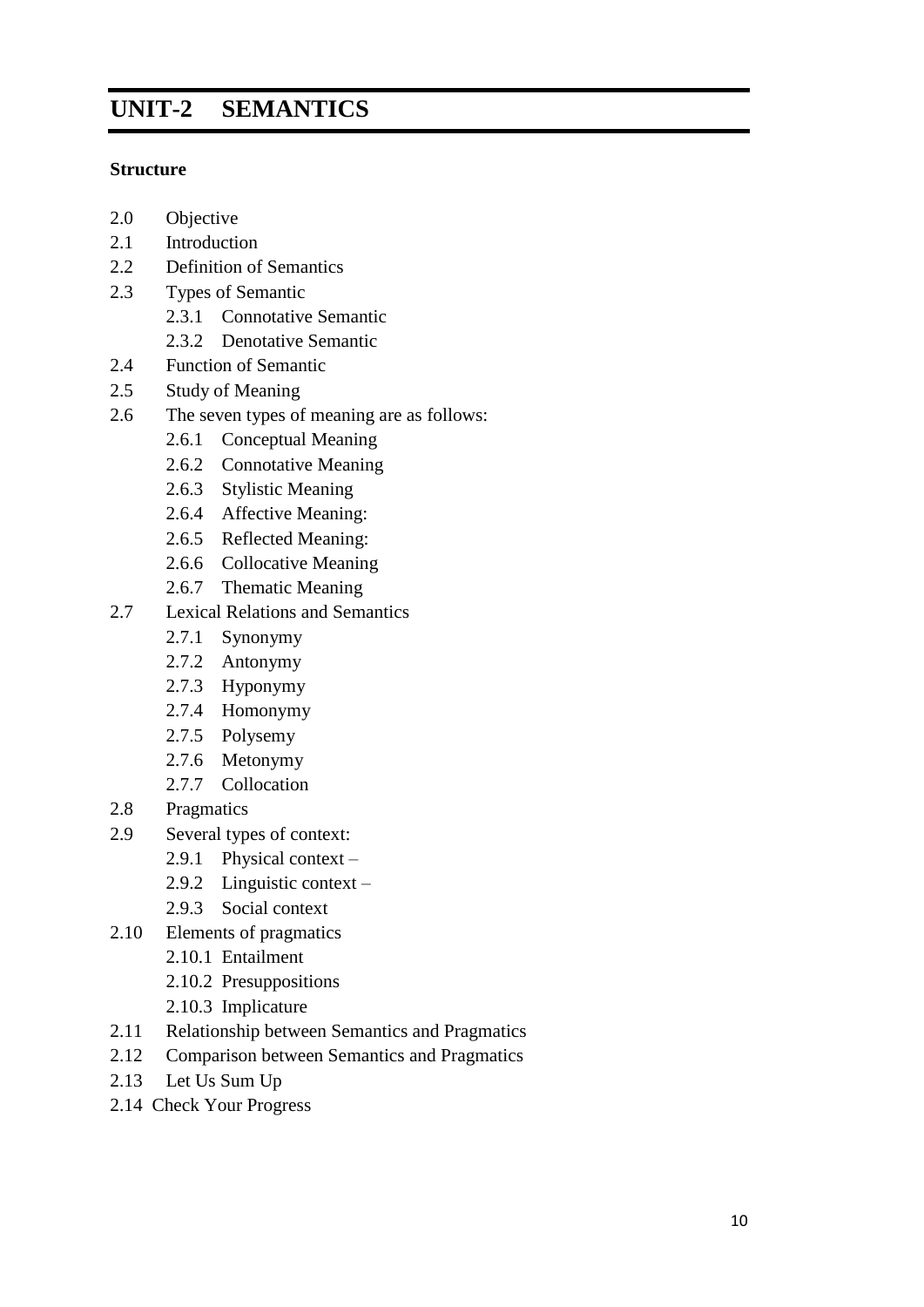(10a,b) are both false and have not much else in common in terms of semantic relationships. Now consider the following statements:

- (11) a. Pavarotti is French.
- b. The truth value of "Pavarotti is French" =  $T$
- c. The truth value of "It never snows in Kashmir"  $= T$
- d. It never snows in Kashmir.

(We assume that there are two truth values, "T" for "true" and "F" for "false" and that T≠F) Convince yourself first that (11a,b) entail each other, and (11c,d) do so as well. So any situation that makes (11a) true must also make (11b) true, and vice versa. Similarly for (11c,d). By principle A, then, (11a) has the same reference as (11b) and (11c) has the same reference as (11d). Moreover, the reference of the definite description *the truth value of "Pavarotti is French"* is the same as the reference of the definite description *the truth value of "It never snows in Kashmir"*, namely the truth value F. By Principle B, it follows then that (11b) and (11c) must have the same reference, since (11c) is simply obtained from (11b) by replacing the NP *the truth value of "Pavarotti is French"* with another NP with the same reference, namely the definite description *the truth value of "It never snows in Kashmir"*. It follows then that (11a) has the same reference as (11d).

Now, what might this reference be? We chose our examples by looking at two sentences that share no semantic property other than the fact that they are both false. The result would be same if they were both true. The only possible candidate for the reference of the two sentences would be whatever they have in common that is different from other sentences that don't have that property, namely, their truth value. It follows, then, that IF (declarative) sentences can be said to have a reference, the reference must be their truth value. This result is very counterintuitive at first, since it is clear that the content of a sentence is clearly not their truth value. The examples chosen above show that very clearly. There are two options one may follow at this point. The first option would be to give up the notion that principles A and B hold universally, but this doesn't seem right, as they seem to express true generalizations about meaning. The second option, proposed by Frege, was to say that reference is not all there is to meaning. Frege proposed that sentences (and by extension, all linguistic expressions) have a reference and what he called "sense". All linguistic expressions, on this view, have a reference ("Bedeutung"), but also a "sense" ("Sinn"), i.e., a manner in which the reference is presented. Frege illustrated this point by means of an example involving someone watching the moon through a telescope. One can distinguish the moon itself from the image of the moon that one sees through a telescope. This is further distinguished from the retinal image in the eye of the observer, i.e., something internal, subjective to the observer. Frege took senses to be "objective", but distinct from the reference of an expression. We may not choose to be radical objectivists about sense the way Frege was, but it is clear that Frege's notion of "sense" is closer to what in English we would call "content" or "meaning".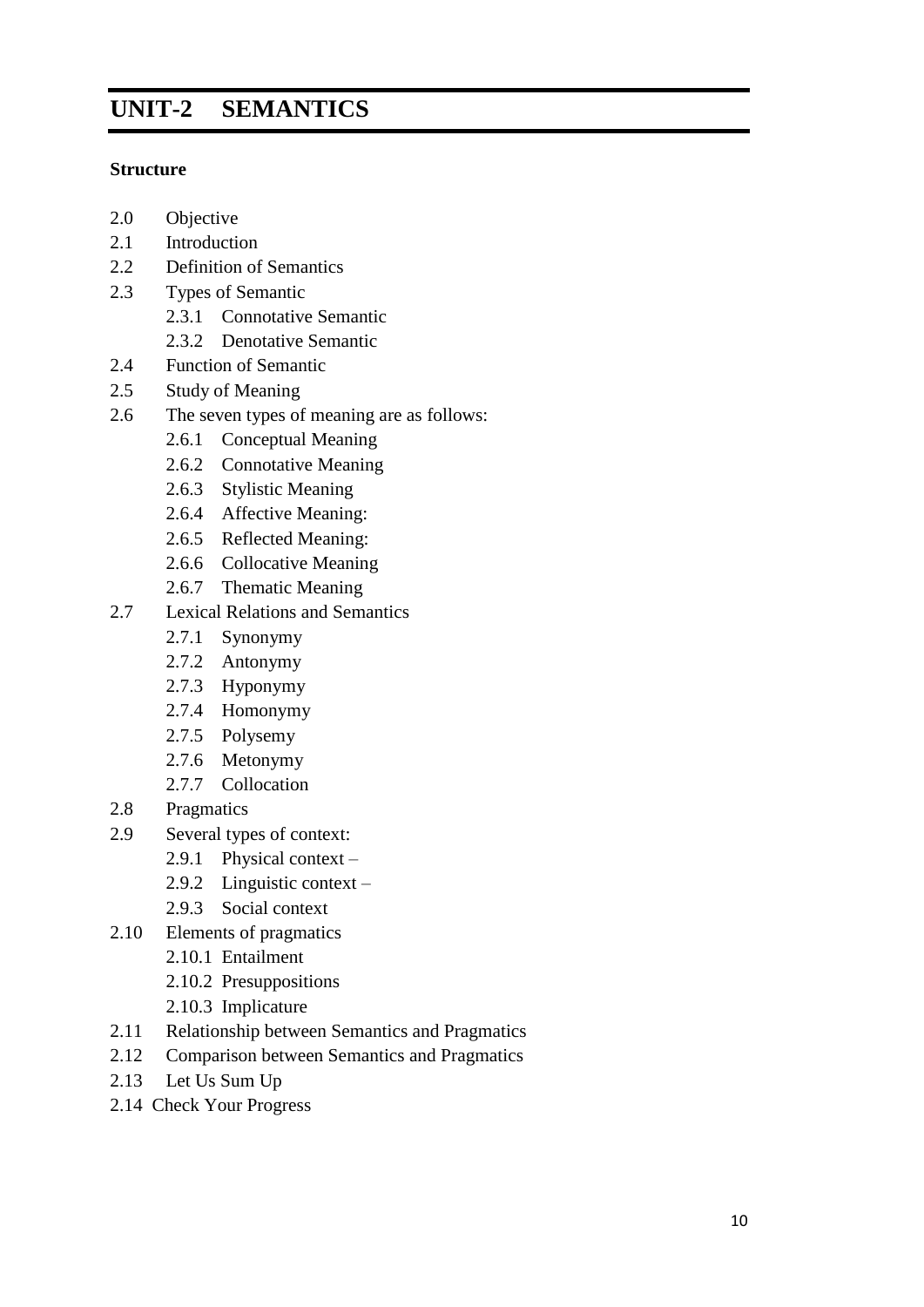Frege also argued that there are examples in language where the reference of a linguistic expression was its sense rather than its customary reference. This is seen in examples like the following:

(12) a. John believes that the evening star is the evening star.

b. John believes that the evening star is the morning star.

The English expression "the evening star" refers to the same object as "the morning star", namely, the planet Venus. There are historical reasons for this: this derives from a time when people didn't have a clear notion of planets and stars, and furthermore didn't know that the shining celestial object they saw in the morning was the same as the shining object they saw in the evening. But replacing the second occurrence of *the evening star* in (12a) by a coreferring definite NP *the morning star* results in a sentence that doesn't have the same meaning. It is possible to imagine a circumstance in which (12a) is true but (12b) is false, since (12a) attributes a trivial belief to John, whereas (12b) involves a belief that was the result of a significant astronomical discovery. On Frege's account the sentences *the evening star is the evening star* and *the evening star is the morning star* have the same reference (both being true), but different senses. The difference between (12a) and (12b) comes about because the reference of the complement clause of the verb *believe* is the sense of the sentence rather than the reference (i.e., the truth value "true").

# **3.4 SEMANTIC THEORY AND TRUTH CONDITIONS**

We saw that if sentences can be said to have a reference, the reference must be the truth value. However, that is not the content of the sentence. Clearly a compositional semantic theory that aims to provide an account of the semantic knowledge of the native speakers of a language must be able to give a characterization of the content of a sentence. What must this knowledge consist of? To see the point, consider the following sentence of English:

(13) Obama talked to the pope on September 25, 2015 by phone.

Clearly, understanding the meaning of this sentence doesn't require knowing whether (13) is true or not, as the latter clearly involves knowing something about the facts over and above the semantic knowledge required to understand (13). Understanding the sentence of English requires, however, understanding the conditions under which (13) would be truth. In other words, the knowledge of the meaning of (13) requires at the very least the knowledge of the *truth conditions* of (13). Some philosophers like Davidson have gone further and argued that that's all that is needed for a compositional, denotational semantic theory. In other words, a semantic theory must provide rules of semantic composition that have as a consequence statements of the following type:

(14) A sentence "S" is true in a circumstance  $\Box$  iff p.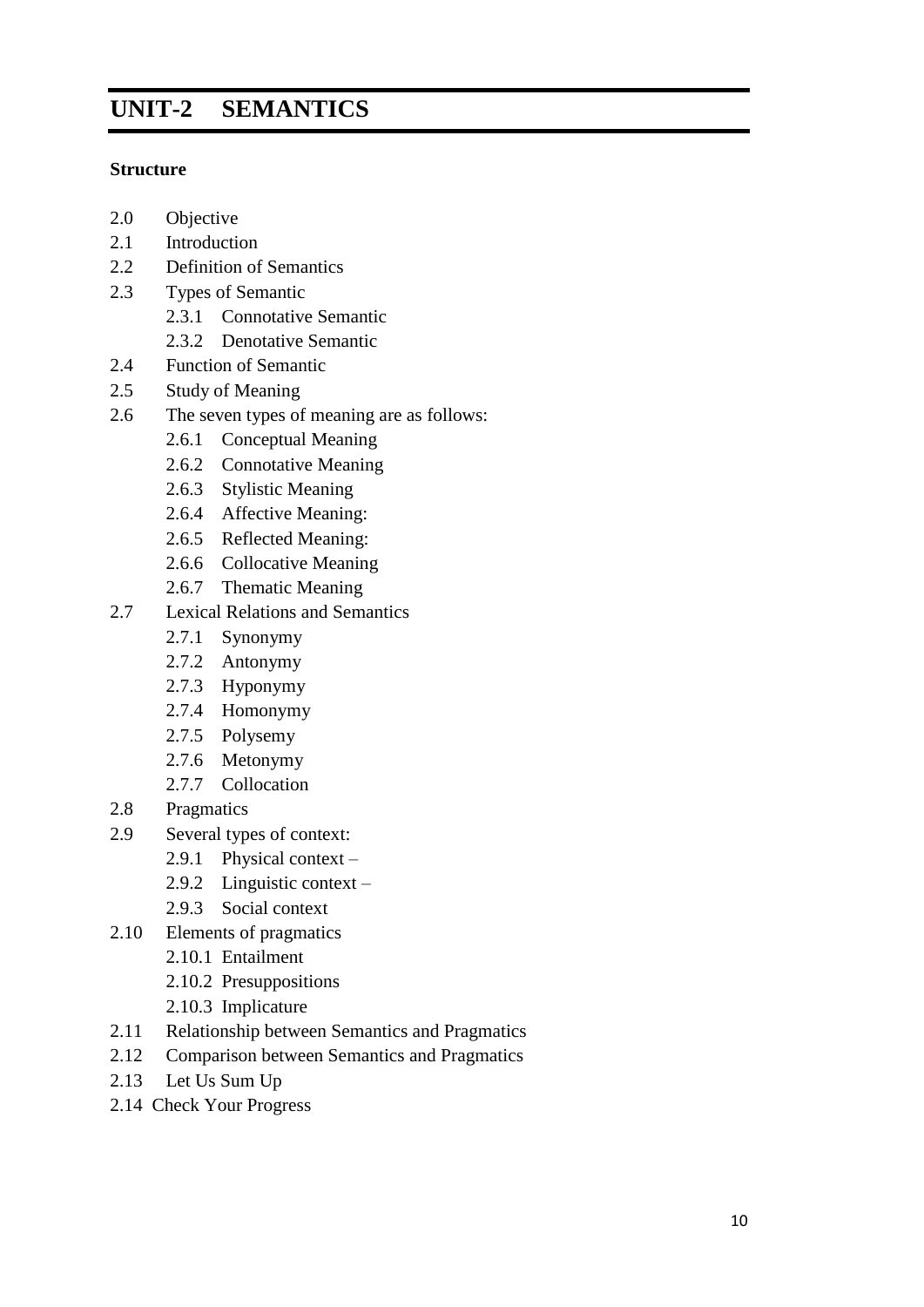Something like (14) was first proposed by the philosopher and mathematician Tarski in his investigation of logical systems. In (14), the LHS consists of a truth predicate asserting the truth of a linguistic expression (a declarative statement) and the RHS consists of a condition describing a condition on objects that are "outside" the linguistic system under investigation. (Tarski called (14) the "convention T".) On Davidson's view, a compositional semantic theory must not only yield as theorems statements of the form (14), but must also do so in a manner that is insightful in that it makes clear the contribution made by the meanings of the parts to the meanings of the whole (which is why it is a compositional theory, something we are interested in as linguistic semanticists).

A theory of this type is clearly needed for the semantics of declarative statements. But not all utterances of a natural language are declarative sentences. We ask questions, issue commands, talk in fragments under the right discourse conditions, make interjections like "ouch" and "oops" and so on. Surely, a compositional theory of meaning must also account for these. As it turns out, a compositional semantic theory based on truth-conditions has plenty to say about these constructions as well. So consider questions.

(15) Which students came to the freshers' party last Wednesday?

A question like (15) doesn't have truth-conditions, but understanding the meaning of (15) requires, at a minimum, understanding what makes a statement an answer to (15). Thus, *it is snowing now* is not an answer to (15), but *Mary came to the party* could be, if Mary is a student. In other words, the meaning of a question like (15) involves understanding its *answerhood conditions*. (Note that answers have propositional content, so a truth-conditions based semantics already would work for them.) Similarly, the semantics of imperatives would involve knowledge of the conditions under which an order can be complied with: we call these the *compliance conditions*. So if I tell John:

(16) Jump out of the window!

John will have complied with my order if he jumps out of the window, and not if he doesn't. Compliance conditions have a propositional semantics, however, which is given by a truth-conditions based semantics.

The same way, it is easy to show that fragments and interjections all involve propositional knowledge of some kind. So if a speaker says "oops!" they signal that they, or someone in the context, did something wrong, and so on. Fragments are usually understood as parts of bigger structures that are not uttered but whose meaning is somehow recoverable from the context, and these bigger structures have propositional content (again, with a truth-conditions based semantics).